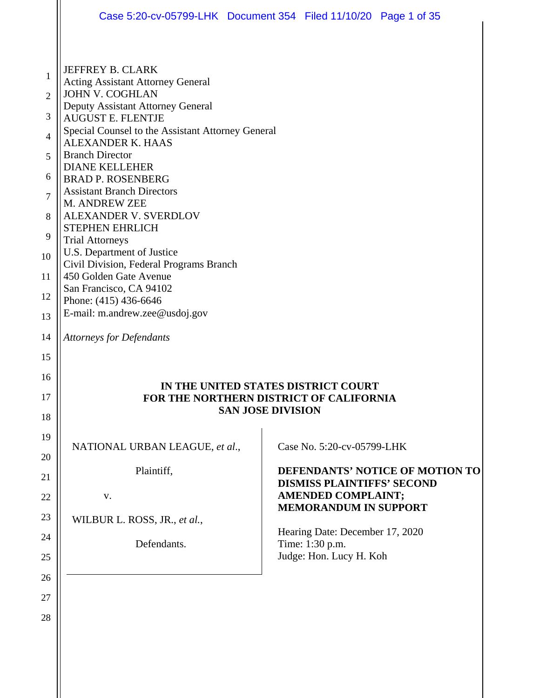|                | Case 5:20-cv-05799-LHK Document 354 Filed 11/10/20 Page 1 of 35       |                          |                                                                |                                 |
|----------------|-----------------------------------------------------------------------|--------------------------|----------------------------------------------------------------|---------------------------------|
|                |                                                                       |                          |                                                                |                                 |
| 1              | JEFFREY B. CLARK<br><b>Acting Assistant Attorney General</b>          |                          |                                                                |                                 |
| $\overline{2}$ | <b>JOHN V. COGHLAN</b>                                                |                          |                                                                |                                 |
| 3              | Deputy Assistant Attorney General<br><b>AUGUST E. FLENTJE</b>         |                          |                                                                |                                 |
| $\overline{4}$ | Special Counsel to the Assistant Attorney General                     |                          |                                                                |                                 |
| 5              | <b>ALEXANDER K. HAAS</b><br><b>Branch Director</b>                    |                          |                                                                |                                 |
|                | <b>DIANE KELLEHER</b>                                                 |                          |                                                                |                                 |
| 6              | <b>BRAD P. ROSENBERG</b><br><b>Assistant Branch Directors</b>         |                          |                                                                |                                 |
| 7              | M. ANDREW ZEE                                                         |                          |                                                                |                                 |
| 8              | <b>ALEXANDER V. SVERDLOV</b><br><b>STEPHEN EHRLICH</b>                |                          |                                                                |                                 |
| 9              | <b>Trial Attorneys</b>                                                |                          |                                                                |                                 |
| 10             | U.S. Department of Justice<br>Civil Division, Federal Programs Branch |                          |                                                                |                                 |
| 11             | 450 Golden Gate Avenue                                                |                          |                                                                |                                 |
| 12             | San Francisco, CA 94102<br>Phone: (415) 436-6646                      |                          |                                                                |                                 |
| 13             | E-mail: m.andrew.zee@usdoj.gov                                        |                          |                                                                |                                 |
| 14             | <b>Attorneys for Defendants</b>                                       |                          |                                                                |                                 |
| 15             |                                                                       |                          |                                                                |                                 |
| 16             |                                                                       |                          |                                                                |                                 |
| 17             | FOR THE NORTHERN DISTRICT OF CALIFORNIA                               |                          | IN THE UNITED STATES DISTRICT COURT                            |                                 |
| 18             |                                                                       | <b>SAN JOSE DIVISION</b> |                                                                |                                 |
| 19             |                                                                       |                          |                                                                |                                 |
| 20             | NATIONAL URBAN LEAGUE, et al.,                                        |                          | Case No. 5:20-cv-05799-LHK                                     |                                 |
| 21             | Plaintiff,                                                            |                          |                                                                | DEFENDANTS' NOTICE OF MOTION TO |
| 22             | V.                                                                    |                          | <b>DISMISS PLAINTIFFS' SECOND</b><br><b>AMENDED COMPLAINT;</b> |                                 |
| 23             | WILBUR L. ROSS, JR., et al.,                                          |                          | <b>MEMORANDUM IN SUPPORT</b>                                   |                                 |
| 24             |                                                                       |                          | Hearing Date: December 17, 2020                                |                                 |
| 25             | Defendants.                                                           |                          | Time: 1:30 p.m.<br>Judge: Hon. Lucy H. Koh                     |                                 |
| 26             |                                                                       |                          |                                                                |                                 |
| 27             |                                                                       |                          |                                                                |                                 |
| 28             |                                                                       |                          |                                                                |                                 |
|                |                                                                       |                          |                                                                |                                 |
|                |                                                                       |                          |                                                                |                                 |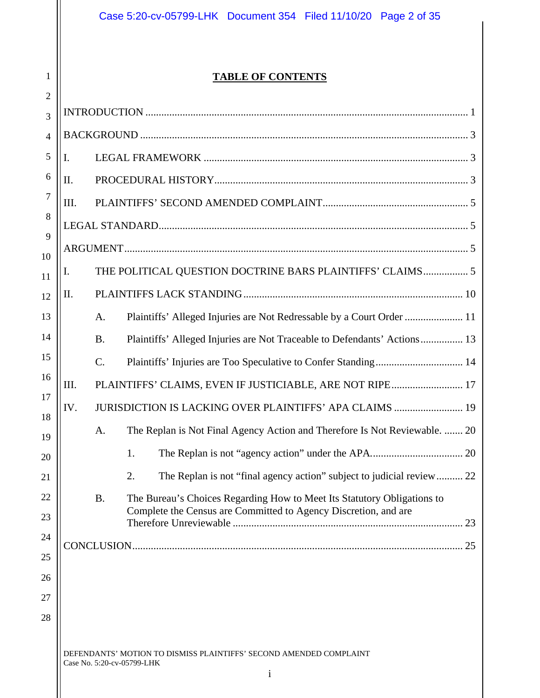# **TABLE OF CONTENTS**

| $\overline{2}$ |      |           |                                                                                                  |    |
|----------------|------|-----------|--------------------------------------------------------------------------------------------------|----|
| 3              |      |           |                                                                                                  |    |
| 4              |      |           |                                                                                                  |    |
| 5              | I.   |           |                                                                                                  |    |
| 6              | II.  |           |                                                                                                  |    |
| 7              | III. |           |                                                                                                  |    |
| 8              |      |           |                                                                                                  |    |
| 9<br>10        |      |           |                                                                                                  |    |
| 11             | I.   |           | THE POLITICAL QUESTION DOCTRINE BARS PLAINTIFFS' CLAIMS 5                                        |    |
| 12             | Π.   |           |                                                                                                  |    |
| 13             |      | A.        |                                                                                                  |    |
| 14             |      | <b>B.</b> | Plaintiffs' Alleged Injuries are Not Traceable to Defendants' Actions 13                         |    |
| 15             |      | C.        |                                                                                                  |    |
| 16             | III. |           | PLAINTIFFS' CLAIMS, EVEN IF JUSTICIABLE, ARE NOT RIPE 17                                         |    |
| 17             | IV.  |           | JURISDICTION IS LACKING OVER PLAINTIFFS' APA CLAIMS  19                                          |    |
| 18<br>19       |      | A.        | The Replan is Not Final Agency Action and Therefore Is Not Reviewable.  20                       |    |
| 20             |      |           | 1.                                                                                               |    |
| 21             |      |           | The Replan is not "final agency action" subject to judicial review 22<br>2.                      |    |
| 22             |      | <b>B.</b> | The Bureau's Choices Regarding How to Meet Its Statutory Obligations to                          |    |
| 23             |      |           | Complete the Census are Committed to Agency Discretion, and are                                  | 23 |
| 24             |      |           |                                                                                                  | 25 |
| 25             |      |           |                                                                                                  |    |
| 26             |      |           |                                                                                                  |    |
| 27             |      |           |                                                                                                  |    |
| 28             |      |           |                                                                                                  |    |
|                |      |           | DEFENDANTS' MOTION TO DISMISS PLAINTIFFS' SECOND AMENDED COMPLAINT<br>Case No. 5:20-cv-05799-LHK |    |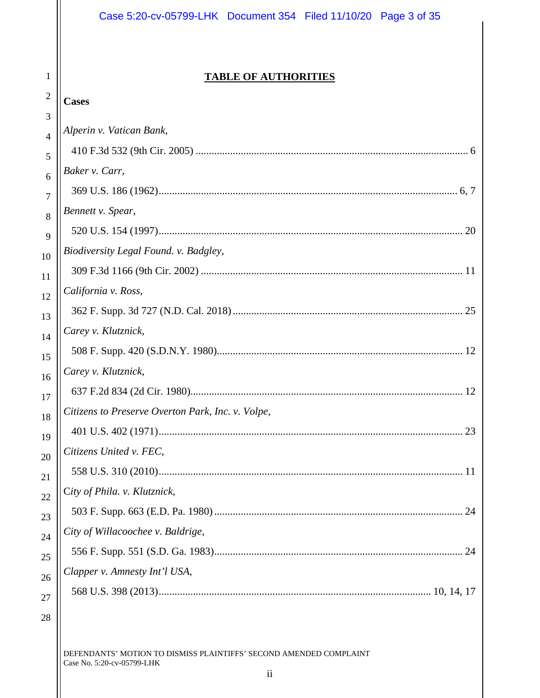### **TABLE OF AUTHORITIES**

1

2

| ∠<br>3         | <b>Cases</b>                                      |
|----------------|---------------------------------------------------|
| $\overline{4}$ | Alperin v. Vatican Bank,                          |
| 5              |                                                   |
| 6              | Baker v. Carr,                                    |
| $\overline{7}$ |                                                   |
| 8              | Bennett v. Spear,                                 |
| 9              |                                                   |
| 10             | Biodiversity Legal Found. v. Badgley,             |
| 11             |                                                   |
| 12             | California v. Ross,                               |
| 13             |                                                   |
| 14             | Carey v. Klutznick,                               |
| 15             |                                                   |
| 16             | Carey v. Klutznick,                               |
| 17             |                                                   |
| 18             | Citizens to Preserve Overton Park, Inc. v. Volpe, |
| 19             |                                                   |
| 20             | Citizens United v. FEC,                           |
| 21             |                                                   |
| 22             | City of Phila. v. Klutznick,                      |
| 23             | 24                                                |
| 24             | City of Willacoochee v. Baldrige,                 |
| 25             | 24                                                |
| 26             | Clapper v. Amnesty Int'l USA,                     |
| 27             |                                                   |
| 28             |                                                   |

DEFENDANTS' MOTION TO DISMISS PLAINTIFFS' SECOND AMENDED COMPLAINT Case No. 5:20-cv-05799-LHK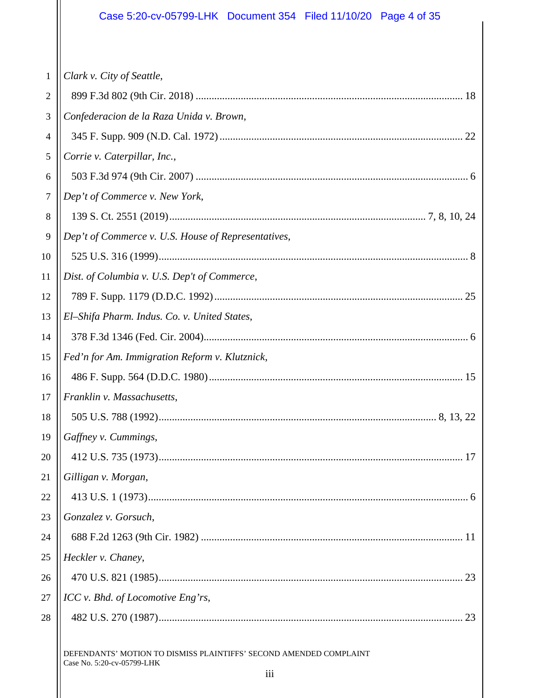# Case 5:20-cv-05799-LHK Document 354 Filed 11/10/20 Page 4 of 35

| $\mathbf{1}$     | Clark v. City of Seattle,                                                                        |
|------------------|--------------------------------------------------------------------------------------------------|
| $\overline{2}$   |                                                                                                  |
| 3                | Confederacion de la Raza Unida v. Brown,                                                         |
| $\overline{4}$   |                                                                                                  |
| $\mathfrak s$    | Corrie v. Caterpillar, Inc.,                                                                     |
| 6                |                                                                                                  |
| $\boldsymbol{7}$ | Dep't of Commerce v. New York,                                                                   |
| 8                |                                                                                                  |
| 9                | Dep't of Commerce v. U.S. House of Representatives,                                              |
| 10               |                                                                                                  |
| 11               | Dist. of Columbia v. U.S. Dep't of Commerce,                                                     |
| 12               |                                                                                                  |
| 13               | El-Shifa Pharm. Indus. Co. v. United States,                                                     |
| 14               |                                                                                                  |
| 15               | Fed'n for Am. Immigration Reform v. Klutznick,                                                   |
| 16               |                                                                                                  |
| 17               | Franklin v. Massachusetts,                                                                       |
| 18               |                                                                                                  |
| 19               | Gaffney v. Cummings,                                                                             |
| $_{20}$          |                                                                                                  |
| 21               | Gilligan v. Morgan,                                                                              |
| 22               |                                                                                                  |
| 23               | Gonzalez v. Gorsuch,                                                                             |
| 24               |                                                                                                  |
| 25               | Heckler v. Chaney,                                                                               |
| 26               |                                                                                                  |
| 27               | ICC v. Bhd. of Locomotive Eng'rs,                                                                |
| 28               |                                                                                                  |
|                  | DEFENDANTS' MOTION TO DISMISS PLAINTIFFS' SECOND AMENDED COMPLAINT<br>Case No. 5:20-cv-05799-LHK |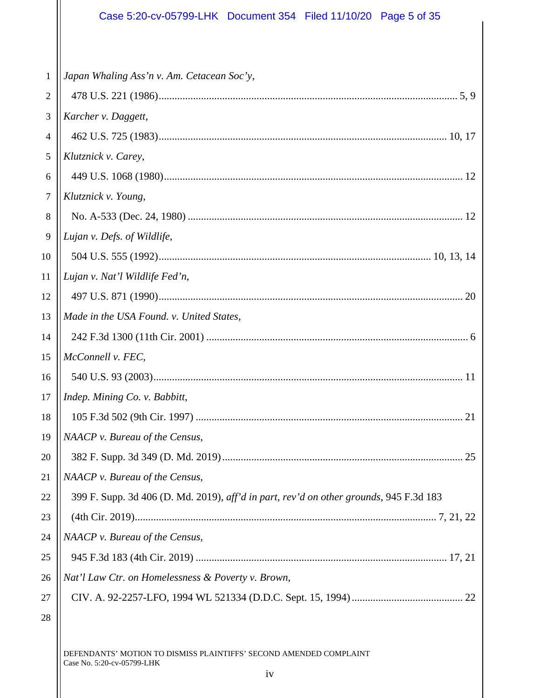# Case 5:20-cv-05799-LHK Document 354 Filed 11/10/20 Page 5 of 35

| $\mathbf{1}$   | Japan Whaling Ass'n v. Am. Cetacean Soc'y,                                             |
|----------------|----------------------------------------------------------------------------------------|
| 2              |                                                                                        |
| 3              | Karcher v. Daggett,                                                                    |
| $\overline{4}$ |                                                                                        |
| 5              | Klutznick v. Carey,                                                                    |
| 6              |                                                                                        |
| $\tau$         | Klutznick v. Young,                                                                    |
| 8              |                                                                                        |
| 9              | Lujan v. Defs. of Wildlife,                                                            |
| 10             |                                                                                        |
| 11             | Lujan v. Nat'l Wildlife Fed'n,                                                         |
| 12             |                                                                                        |
| 13             | Made in the USA Found. v. United States,                                               |
| 14             |                                                                                        |
| 15             | McConnell v. FEC,                                                                      |
| 16             |                                                                                        |
| 17             | Indep. Mining Co. v. Babbitt,                                                          |
| 18             |                                                                                        |
| 19             | NAACP v. Bureau of the Census,                                                         |
| 20             |                                                                                        |
| 21             | NAACP v. Bureau of the Census,                                                         |
| 22             | 399 F. Supp. 3d 406 (D. Md. 2019), aff'd in part, rev'd on other grounds, 945 F.3d 183 |
| 23             |                                                                                        |
| 24             | NAACP v. Bureau of the Census,                                                         |
| 25             |                                                                                        |
| 26             | Nat'l Law Ctr. on Homelessness & Poverty v. Brown,                                     |
| 27             |                                                                                        |
| 28             |                                                                                        |

DEFENDANTS' MOTION TO DISMISS PLAINTIFFS' SECOND AMENDED COMPLAINT Case No. 5:20-cv-05799-LHK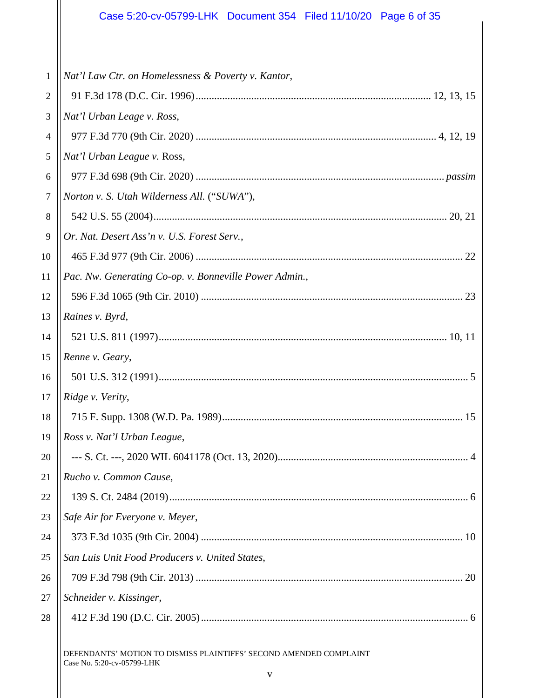# Case 5:20-cv-05799-LHK Document 354 Filed 11/10/20 Page 6 of 35

| $\mathbf{1}$             | Nat'l Law Ctr. on Homelessness & Poverty v. Kantor,                                              |
|--------------------------|--------------------------------------------------------------------------------------------------|
| $\overline{2}$           |                                                                                                  |
| 3                        | Nat'l Urban Leage v. Ross,                                                                       |
| $\overline{\mathcal{A}}$ |                                                                                                  |
| 5                        | Nat'l Urban League v. Ross,                                                                      |
| 6                        |                                                                                                  |
| 7                        | Norton v. S. Utah Wilderness All. ("SUWA"),                                                      |
| 8                        |                                                                                                  |
| 9                        | Or. Nat. Desert Ass'n v. U.S. Forest Serv.,                                                      |
| 10                       |                                                                                                  |
| 11                       | Pac. Nw. Generating Co-op. v. Bonneville Power Admin.,                                           |
| 12                       |                                                                                                  |
| 13                       | Raines v. Byrd,                                                                                  |
| 14                       |                                                                                                  |
| 15                       | Renne v. Geary,                                                                                  |
| 16                       |                                                                                                  |
| 17                       | Ridge v. Verity,                                                                                 |
| 18                       |                                                                                                  |
| 19                       | Ross v. Nat'l Urban League,                                                                      |
|                          | 4                                                                                                |
| 21                       | Rucho v. Common Cause,                                                                           |
| 22                       |                                                                                                  |
| 23                       | Safe Air for Everyone v. Meyer,                                                                  |
| 24                       |                                                                                                  |
| 25                       | San Luis Unit Food Producers v. United States,                                                   |
| 26                       |                                                                                                  |
| 27                       | Schneider v. Kissinger,                                                                          |
| 28                       |                                                                                                  |
|                          | DEFENDANTS' MOTION TO DISMISS PLAINTIFFS' SECOND AMENDED COMPLAINT<br>Case No. 5:20-cv-05799-LHK |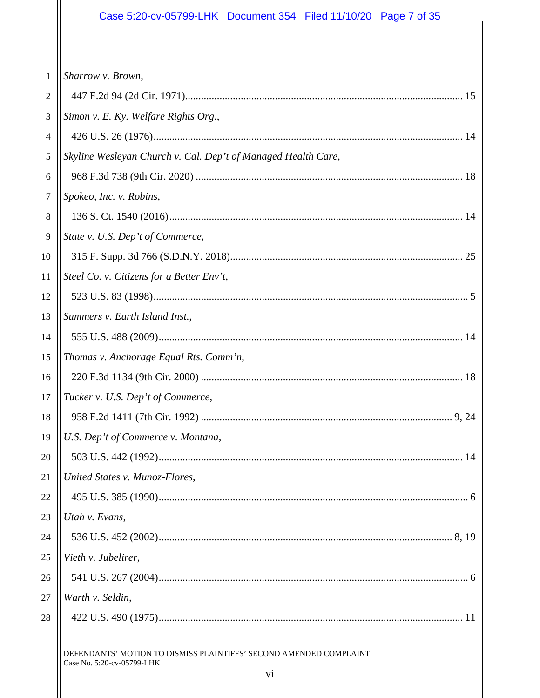# Case 5:20-cv-05799-LHK Document 354 Filed 11/10/20 Page 7 of 35

| $\mathbf{1}$  | Sharrow v. Brown,                                                                                |
|---------------|--------------------------------------------------------------------------------------------------|
| 2             |                                                                                                  |
| 3             | Simon v. E. Ky. Welfare Rights Org.,                                                             |
| 4             |                                                                                                  |
| $\mathfrak s$ | Skyline Wesleyan Church v. Cal. Dep't of Managed Health Care,                                    |
| 6             |                                                                                                  |
| $\tau$        | Spokeo, Inc. v. Robins,                                                                          |
| 8             |                                                                                                  |
| 9             | State v. U.S. Dep't of Commerce,                                                                 |
| 10            |                                                                                                  |
| 11            | Steel Co. v. Citizens for a Better Env't,                                                        |
| 12            |                                                                                                  |
| 13            | Summers v. Earth Island Inst.,                                                                   |
| 14            |                                                                                                  |
| 15            | Thomas v. Anchorage Equal Rts. Comm'n,                                                           |
| 16            |                                                                                                  |
| 17            | Tucker v. U.S. Dep't of Commerce,                                                                |
| 18            |                                                                                                  |
| 19            | U.S. Dep't of Commerce v. Montana,                                                               |
| $20$          | 14                                                                                               |
| 21            | United States v. Munoz-Flores,                                                                   |
| 22            |                                                                                                  |
| 23            | Utah v. Evans,                                                                                   |
| 24            |                                                                                                  |
| 25            | Vieth v. Jubelirer,                                                                              |
| 26            |                                                                                                  |
| 27            | Warth v. Seldin,                                                                                 |
| 28            |                                                                                                  |
|               | DEFENDANTS' MOTION TO DISMISS PLAINTIFFS' SECOND AMENDED COMPLAINT<br>Case No. 5:20-cv-05799-LHK |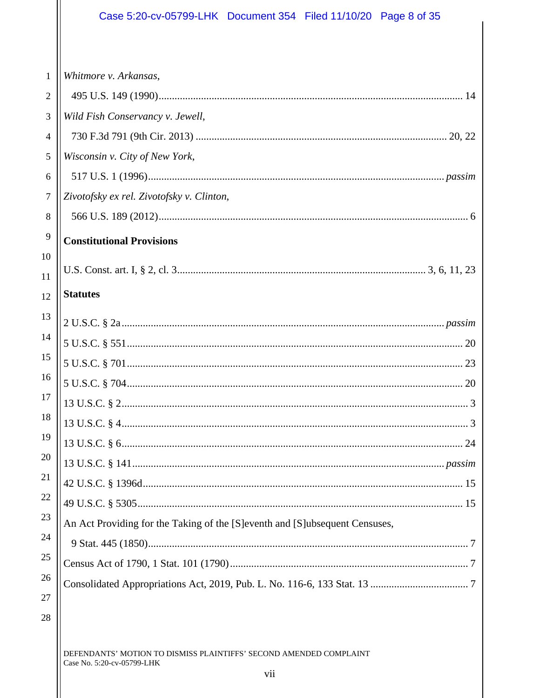# Case 5:20-cv-05799-LHK Document 354 Filed 11/10/20 Page 8 of 35

| 1              | Whitmore v. Arkansas,                                                         |
|----------------|-------------------------------------------------------------------------------|
| $\overline{2}$ |                                                                               |
| 3              | Wild Fish Conservancy v. Jewell,                                              |
| $\overline{4}$ |                                                                               |
| 5              | Wisconsin v. City of New York,                                                |
| 6              |                                                                               |
| $\tau$         | Zivotofsky ex rel. Zivotofsky v. Clinton,                                     |
| 8              |                                                                               |
| 9              | <b>Constitutional Provisions</b>                                              |
| 10             |                                                                               |
| 11             |                                                                               |
| 12             | <b>Statutes</b>                                                               |
| 13             |                                                                               |
| 14             |                                                                               |
| 15             |                                                                               |
| 16             |                                                                               |
| 17             |                                                                               |
| 18             |                                                                               |
| 19             |                                                                               |
| 20             |                                                                               |
| 21             |                                                                               |
| 22             |                                                                               |
| 23             | An Act Providing for the Taking of the [S] eventh and [S] ubsequent Censuses, |
| 24             |                                                                               |
| 25             |                                                                               |
| 26             |                                                                               |
| 27             |                                                                               |
| 28             |                                                                               |
|                |                                                                               |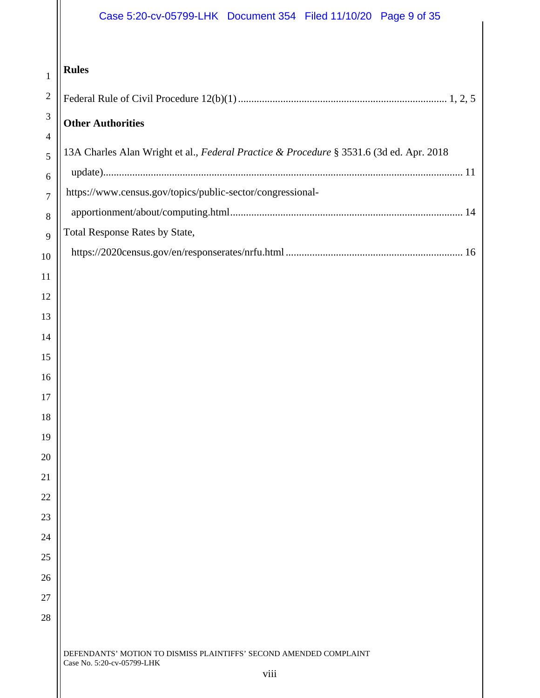# Case 5:20-cv-05799-LHK Document 354 Filed 11/10/20 Page 9 of 35

## **Rules**

| 1              | <b>Rules</b>                                                                                     |
|----------------|--------------------------------------------------------------------------------------------------|
| $\mathbf{2}$   |                                                                                                  |
| $\mathfrak{Z}$ | <b>Other Authorities</b>                                                                         |
| $\overline{4}$ |                                                                                                  |
| 5              | 13A Charles Alan Wright et al., Federal Practice & Procedure § 3531.6 (3d ed. Apr. 2018          |
| 6              |                                                                                                  |
| $\overline{7}$ | https://www.census.gov/topics/public-sector/congressional-                                       |
| 8              |                                                                                                  |
| 9              | Total Response Rates by State,                                                                   |
| 10             |                                                                                                  |
| 11             |                                                                                                  |
| 12             |                                                                                                  |
| 13             |                                                                                                  |
| 14             |                                                                                                  |
| 15             |                                                                                                  |
| 16             |                                                                                                  |
| 17             |                                                                                                  |
| 18             |                                                                                                  |
| 19             |                                                                                                  |
| 20             |                                                                                                  |
| 21             |                                                                                                  |
| 22             |                                                                                                  |
| 23             |                                                                                                  |
| 24             |                                                                                                  |
| 25             |                                                                                                  |
| 26             |                                                                                                  |
| 27             |                                                                                                  |
| 28             |                                                                                                  |
|                |                                                                                                  |
|                | DEFENDANTS' MOTION TO DISMISS PLAINTIFFS' SECOND AMENDED COMPLAINT<br>Case No. 5:20-cv-05799-LHK |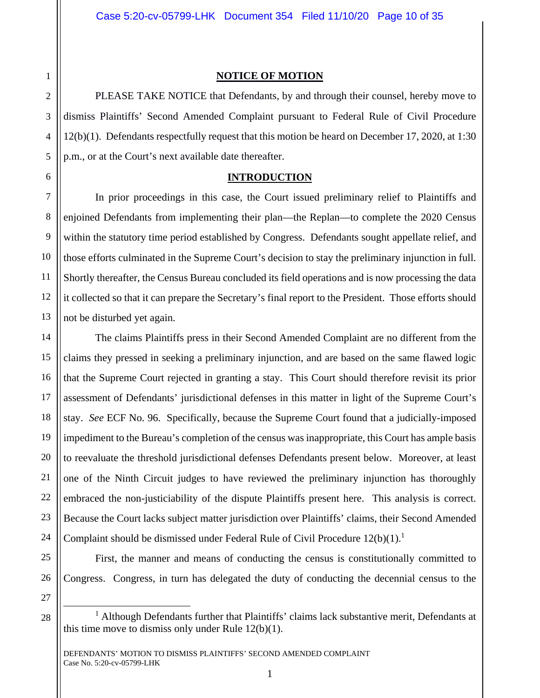19

20

21

22

23

24

27

28

#### **NOTICE OF MOTION**

 PLEASE TAKE NOTICE that Defendants, by and through their counsel, hereby move to dismiss Plaintiffs' Second Amended Complaint pursuant to Federal Rule of Civil Procedure 12(b)(1). Defendants respectfully request that this motion be heard on December 17, 2020, at 1:30 p.m., or at the Court's next available date thereafter.

#### **INTRODUCTION**

In prior proceedings in this case, the Court issued preliminary relief to Plaintiffs and enjoined Defendants from implementing their plan—the Replan—to complete the 2020 Census within the statutory time period established by Congress. Defendants sought appellate relief, and those efforts culminated in the Supreme Court's decision to stay the preliminary injunction in full. Shortly thereafter, the Census Bureau concluded its field operations and is now processing the data it collected so that it can prepare the Secretary's final report to the President. Those efforts should not be disturbed yet again.

The claims Plaintiffs press in their Second Amended Complaint are no different from the claims they pressed in seeking a preliminary injunction, and are based on the same flawed logic that the Supreme Court rejected in granting a stay. This Court should therefore revisit its prior assessment of Defendants' jurisdictional defenses in this matter in light of the Supreme Court's stay. *See* ECF No. 96. Specifically, because the Supreme Court found that a judicially-imposed impediment to the Bureau's completion of the census was inappropriate, this Court has ample basis to reevaluate the threshold jurisdictional defenses Defendants present below. Moreover, at least one of the Ninth Circuit judges to have reviewed the preliminary injunction has thoroughly embraced the non-justiciability of the dispute Plaintiffs present here. This analysis is correct. Because the Court lacks subject matter jurisdiction over Plaintiffs' claims, their Second Amended Complaint should be dismissed under Federal Rule of Civil Procedure  $12(b)(1)$ .<sup>1</sup>

25 26

÷

First, the manner and means of conducting the census is constitutionally committed to Congress. Congress, in turn has delegated the duty of conducting the decennial census to the

<sup>&</sup>lt;sup>1</sup> Although Defendants further that Plaintiffs' claims lack substantive merit, Defendants at this time move to dismiss only under Rule 12(b)(1).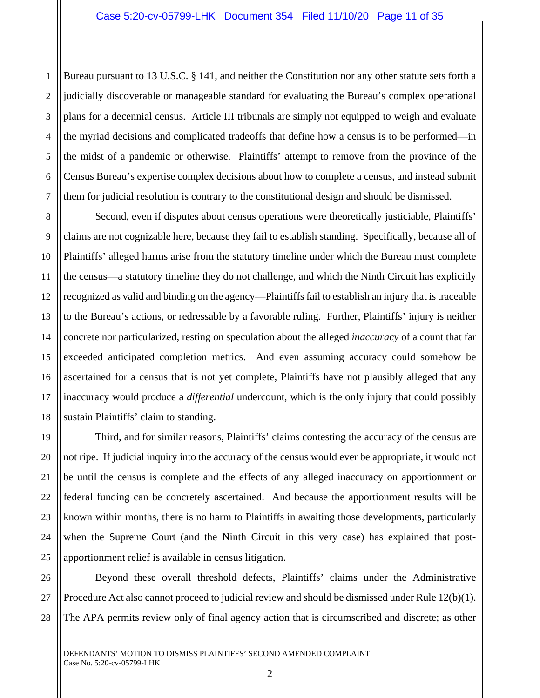1 2 3 4 5 Bureau pursuant to 13 U.S.C. § 141, and neither the Constitution nor any other statute sets forth a judicially discoverable or manageable standard for evaluating the Bureau's complex operational plans for a decennial census. Article III tribunals are simply not equipped to weigh and evaluate the myriad decisions and complicated tradeoffs that define how a census is to be performed—in the midst of a pandemic or otherwise. Plaintiffs' attempt to remove from the province of the Census Bureau's expertise complex decisions about how to complete a census, and instead submit them for judicial resolution is contrary to the constitutional design and should be dismissed.

Second, even if disputes about census operations were theoretically justiciable, Plaintiffs' claims are not cognizable here, because they fail to establish standing. Specifically, because all of Plaintiffs' alleged harms arise from the statutory timeline under which the Bureau must complete the census—a statutory timeline they do not challenge, and which the Ninth Circuit has explicitly recognized as valid and binding on the agency—Plaintiffs fail to establish an injury that is traceable to the Bureau's actions, or redressable by a favorable ruling. Further, Plaintiffs' injury is neither concrete nor particularized, resting on speculation about the alleged *inaccuracy* of a count that far exceeded anticipated completion metrics. And even assuming accuracy could somehow be ascertained for a census that is not yet complete, Plaintiffs have not plausibly alleged that any inaccuracy would produce a *differential* undercount, which is the only injury that could possibly sustain Plaintiffs' claim to standing.

Third, and for similar reasons, Plaintiffs' claims contesting the accuracy of the census are not ripe. If judicial inquiry into the accuracy of the census would ever be appropriate, it would not be until the census is complete and the effects of any alleged inaccuracy on apportionment or federal funding can be concretely ascertained. And because the apportionment results will be known within months, there is no harm to Plaintiffs in awaiting those developments, particularly when the Supreme Court (and the Ninth Circuit in this very case) has explained that postapportionment relief is available in census litigation.

 Beyond these overall threshold defects, Plaintiffs' claims under the Administrative Procedure Act also cannot proceed to judicial review and should be dismissed under Rule 12(b)(1). The APA permits review only of final agency action that is circumscribed and discrete; as other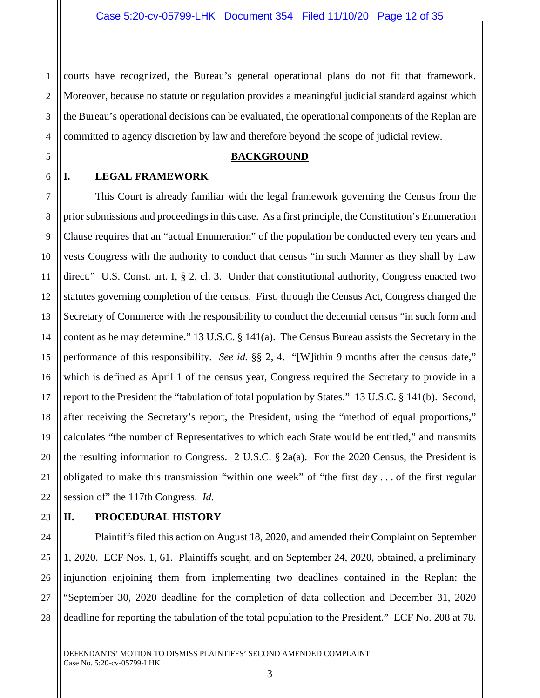1 2 3 4 courts have recognized, the Bureau's general operational plans do not fit that framework. Moreover, because no statute or regulation provides a meaningful judicial standard against which the Bureau's operational decisions can be evaluated, the operational components of the Replan are committed to agency discretion by law and therefore beyond the scope of judicial review.

#### **BACKGROUND**

# 6

7

8

9

10

11

12

13

14

15

16

17

18

19

20

21

5

#### **I. LEGAL FRAMEWORK**

 This Court is already familiar with the legal framework governing the Census from the prior submissions and proceedings in this case. As a first principle, the Constitution's Enumeration Clause requires that an "actual Enumeration" of the population be conducted every ten years and vests Congress with the authority to conduct that census "in such Manner as they shall by Law direct." U.S. Const. art. I, § 2, cl. 3. Under that constitutional authority, Congress enacted two statutes governing completion of the census. First, through the Census Act, Congress charged the Secretary of Commerce with the responsibility to conduct the decennial census "in such form and content as he may determine." 13 U.S.C. § 141(a). The Census Bureau assists the Secretary in the performance of this responsibility. *See id.* §§ 2, 4. "[W]ithin 9 months after the census date," which is defined as April 1 of the census year, Congress required the Secretary to provide in a report to the President the "tabulation of total population by States." 13 U.S.C. § 141(b). Second, after receiving the Secretary's report, the President, using the "method of equal proportions," calculates "the number of Representatives to which each State would be entitled," and transmits the resulting information to Congress. 2 U.S.C. § 2a(a). For the 2020 Census, the President is obligated to make this transmission "within one week" of "the first day . . . of the first regular session of" the 117th Congress. *Id.*

# 22 23

24

25

26

27

28

#### **II. PROCEDURAL HISTORY**

Plaintiffs filed this action on August 18, 2020, and amended their Complaint on September 1, 2020. ECF Nos. 1, 61. Plaintiffs sought, and on September 24, 2020, obtained, a preliminary injunction enjoining them from implementing two deadlines contained in the Replan: the "September 30, 2020 deadline for the completion of data collection and December 31, 2020 deadline for reporting the tabulation of the total population to the President." ECF No. 208 at 78.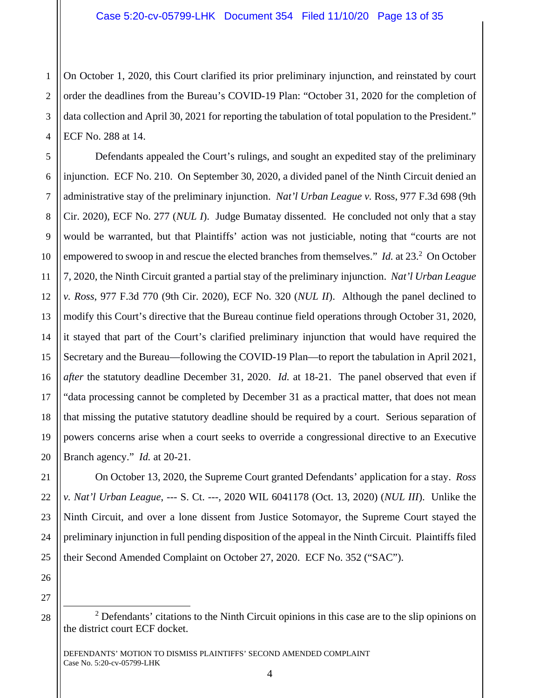1 2 3 4 On October 1, 2020, this Court clarified its prior preliminary injunction, and reinstated by court order the deadlines from the Bureau's COVID-19 Plan: "October 31, 2020 for the completion of data collection and April 30, 2021 for reporting the tabulation of total population to the President." ECF No. 288 at 14.

5 6 7 8 9 10 11 12 13 14 15 16 17 18 19 20 Defendants appealed the Court's rulings, and sought an expedited stay of the preliminary injunction. ECF No. 210. On September 30, 2020, a divided panel of the Ninth Circuit denied an administrative stay of the preliminary injunction. *Nat'l Urban League v.* Ross, 977 F.3d 698 (9th Cir. 2020), ECF No. 277 (*NUL I*). Judge Bumatay dissented. He concluded not only that a stay would be warranted, but that Plaintiffs' action was not justiciable, noting that "courts are not empowered to swoop in and rescue the elected branches from themselves." *Id.* at 23.<sup>2</sup> On October 7, 2020, the Ninth Circuit granted a partial stay of the preliminary injunction. *Nat'l Urban League v. Ross*, 977 F.3d 770 (9th Cir. 2020), ECF No. 320 (*NUL II*). Although the panel declined to modify this Court's directive that the Bureau continue field operations through October 31, 2020, it stayed that part of the Court's clarified preliminary injunction that would have required the Secretary and the Bureau—following the COVID-19 Plan—to report the tabulation in April 2021, *after* the statutory deadline December 31, 2020. *Id.* at 18-21. The panel observed that even if "data processing cannot be completed by December 31 as a practical matter, that does not mean that missing the putative statutory deadline should be required by a court. Serious separation of powers concerns arise when a court seeks to override a congressional directive to an Executive Branch agency." *Id.* at 20-21.

21 22 23 24 25 On October 13, 2020, the Supreme Court granted Defendants' application for a stay. *Ross v. Nat'l Urban League*, --- S. Ct. ---, 2020 WIL 6041178 (Oct. 13, 2020) (*NUL III*). Unlike the Ninth Circuit, and over a lone dissent from Justice Sotomayor, the Supreme Court stayed the preliminary injunction in full pending disposition of the appeal in the Ninth Circuit. Plaintiffs filed their Second Amended Complaint on October 27, 2020. ECF No. 352 ("SAC").

26 27

28

÷

<sup>&</sup>lt;sup>2</sup> Defendants' citations to the Ninth Circuit opinions in this case are to the slip opinions on the district court ECF docket.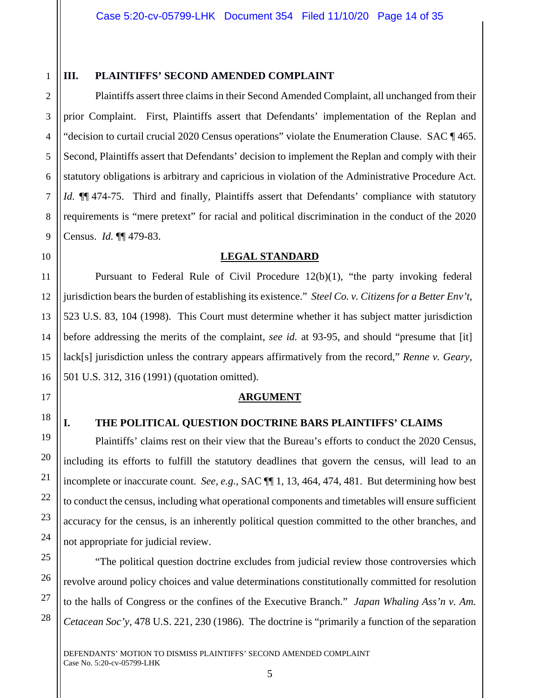1

2

3

4

5

6

7

8

9

#### **III. PLAINTIFFS' SECOND AMENDED COMPLAINT**

Plaintiffs assert three claims in their Second Amended Complaint, all unchanged from their prior Complaint. First, Plaintiffs assert that Defendants' implementation of the Replan and "decision to curtail crucial 2020 Census operations" violate the Enumeration Clause. SAC ¶ 465. Second, Plaintiffs assert that Defendants' decision to implement the Replan and comply with their statutory obligations is arbitrary and capricious in violation of the Administrative Procedure Act. Id.  $\P$  474-75. Third and finally, Plaintiffs assert that Defendants' compliance with statutory requirements is "mere pretext" for racial and political discrimination in the conduct of the 2020 Census. *Id.* ¶¶ 479-83.

#### 10

11

12

13

14

15

16

17

19

20

21

22

23

24

25

26

27

28

#### **LEGAL STANDARD**

Pursuant to Federal Rule of Civil Procedure 12(b)(1), "the party invoking federal jurisdiction bears the burden of establishing its existence." *Steel Co. v. Citizens for a Better Env't*, 523 U.S. 83, 104 (1998). This Court must determine whether it has subject matter jurisdiction before addressing the merits of the complaint, *see id.* at 93-95, and should "presume that [it] lack[s] jurisdiction unless the contrary appears affirmatively from the record," *Renne v. Geary*, 501 U.S. 312, 316 (1991) (quotation omitted).

#### **ARGUMENT**

18

#### **I. THE POLITICAL QUESTION DOCTRINE BARS PLAINTIFFS' CLAIMS**

Plaintiffs' claims rest on their view that the Bureau's efforts to conduct the 2020 Census, including its efforts to fulfill the statutory deadlines that govern the census, will lead to an incomplete or inaccurate count. *See, e.g.*, SAC ¶¶ 1, 13, 464, 474, 481. But determining how best to conduct the census, including what operational components and timetables will ensure sufficient accuracy for the census, is an inherently political question committed to the other branches, and not appropriate for judicial review.

"The political question doctrine excludes from judicial review those controversies which revolve around policy choices and value determinations constitutionally committed for resolution to the halls of Congress or the confines of the Executive Branch." *Japan Whaling Ass'n v. Am. Cetacean Soc'y*, 478 U.S. 221, 230 (1986). The doctrine is "primarily a function of the separation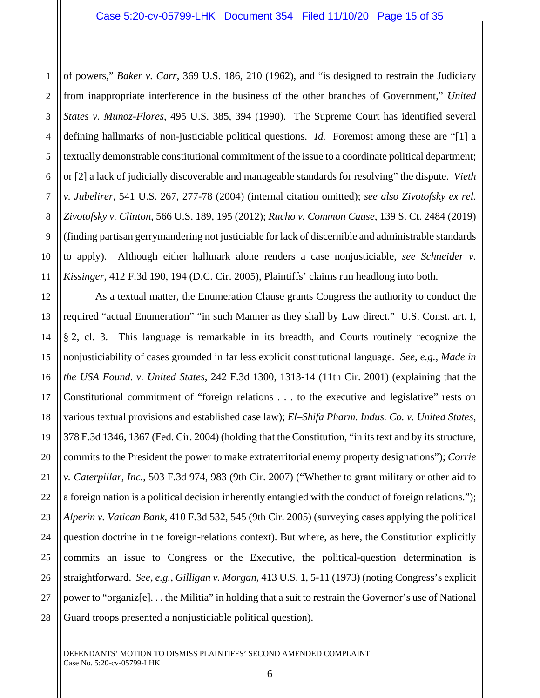1 2 3 4 5 6 7 8 9 10 11 of powers," *Baker v. Carr*, 369 U.S. 186, 210 (1962), and "is designed to restrain the Judiciary from inappropriate interference in the business of the other branches of Government," *United States v. Munoz-Flores*, 495 U.S. 385, 394 (1990). The Supreme Court has identified several defining hallmarks of non-justiciable political questions. *Id.* Foremost among these are "[1] a textually demonstrable constitutional commitment of the issue to a coordinate political department; or [2] a lack of judicially discoverable and manageable standards for resolving" the dispute. *Vieth v. Jubelirer*, 541 U.S. 267, 277-78 (2004) (internal citation omitted); *see also Zivotofsky ex rel. Zivotofsky v. Clinton*, 566 U.S. 189, 195 (2012); *Rucho v. Common Cause*, 139 S. Ct. 2484 (2019) (finding partisan gerrymandering not justiciable for lack of discernible and administrable standards to apply). Although either hallmark alone renders a case nonjusticiable, *see Schneider v. Kissinger*, 412 F.3d 190, 194 (D.C. Cir. 2005), Plaintiffs' claims run headlong into both.

12 13 14 15 16 17 18 19 20 21 22 23 24 25 26 27 28 As a textual matter, the Enumeration Clause grants Congress the authority to conduct the required "actual Enumeration" "in such Manner as they shall by Law direct." U.S. Const. art. I, § 2, cl. 3. This language is remarkable in its breadth, and Courts routinely recognize the nonjusticiability of cases grounded in far less explicit constitutional language. *See, e.g.*, *Made in the USA Found. v. United States*, 242 F.3d 1300, 1313-14 (11th Cir. 2001) (explaining that the Constitutional commitment of "foreign relations . . . to the executive and legislative" rests on various textual provisions and established case law); *El–Shifa Pharm. Indus. Co. v. United States*, 378 F.3d 1346, 1367 (Fed. Cir. 2004) (holding that the Constitution, "in its text and by its structure, commits to the President the power to make extraterritorial enemy property designations"); *Corrie v. Caterpillar, Inc.*, 503 F.3d 974, 983 (9th Cir. 2007) ("Whether to grant military or other aid to a foreign nation is a political decision inherently entangled with the conduct of foreign relations."); *Alperin v. Vatican Bank*, 410 F.3d 532, 545 (9th Cir. 2005) (surveying cases applying the political question doctrine in the foreign-relations context). But where, as here, the Constitution explicitly commits an issue to Congress or the Executive, the political-question determination is straightforward. *See, e.g.*, *Gilligan v. Morgan*, 413 U.S. 1, 5-11 (1973) (noting Congress's explicit power to "organiz[e]. . . the Militia" in holding that a suit to restrain the Governor's use of National Guard troops presented a nonjusticiable political question).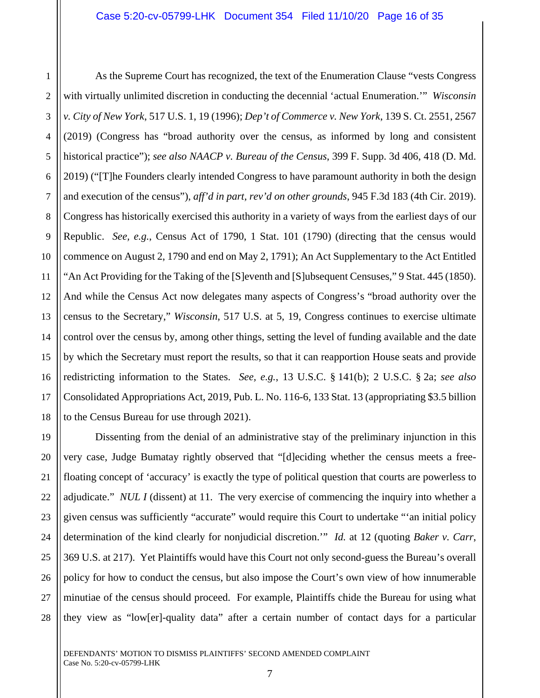2 As the Supreme Court has recognized, the text of the Enumeration Clause "vests Congress with virtually unlimited discretion in conducting the decennial 'actual Enumeration.'" *Wisconsin v. City of New York*, 517 U.S. 1, 19 (1996); *Dep't of Commerce v. New York*, 139 S. Ct. 2551, 2567 (2019) (Congress has "broad authority over the census, as informed by long and consistent historical practice"); *see also NAACP v. Bureau of the Census*, 399 F. Supp. 3d 406, 418 (D. Md. 2019) ("[T]he Founders clearly intended Congress to have paramount authority in both the design and execution of the census"), *aff'd in part, rev'd on other grounds*, 945 F.3d 183 (4th Cir. 2019). Congress has historically exercised this authority in a variety of ways from the earliest days of our Republic. *See, e.g.*, Census Act of 1790, 1 Stat. 101 (1790) (directing that the census would commence on August 2, 1790 and end on May 2, 1791); An Act Supplementary to the Act Entitled "An Act Providing for the Taking of the [S]eventh and [S]ubsequent Censuses," 9 Stat. 445 (1850). And while the Census Act now delegates many aspects of Congress's "broad authority over the census to the Secretary," *Wisconsin*, 517 U.S. at 5, 19, Congress continues to exercise ultimate control over the census by, among other things, setting the level of funding available and the date by which the Secretary must report the results, so that it can reapportion House seats and provide redistricting information to the States. *See, e.g.*, 13 U.S.C. § 141(b); 2 U.S.C. § 2a; *see also*  Consolidated Appropriations Act, 2019, Pub. L. No. 116-6, 133 Stat. 13 (appropriating \$3.5 billion to the Census Bureau for use through 2021).

Dissenting from the denial of an administrative stay of the preliminary injunction in this very case, Judge Bumatay rightly observed that "[d]eciding whether the census meets a freefloating concept of 'accuracy' is exactly the type of political question that courts are powerless to adjudicate." *NUL I* (dissent) at 11. The very exercise of commencing the inquiry into whether a given census was sufficiently "accurate" would require this Court to undertake "'an initial policy determination of the kind clearly for nonjudicial discretion.'" *Id.* at 12 (quoting *Baker v. Carr*, 369 U.S. at 217). Yet Plaintiffs would have this Court not only second-guess the Bureau's overall policy for how to conduct the census, but also impose the Court's own view of how innumerable minutiae of the census should proceed. For example, Plaintiffs chide the Bureau for using what they view as "low[er]-quality data" after a certain number of contact days for a particular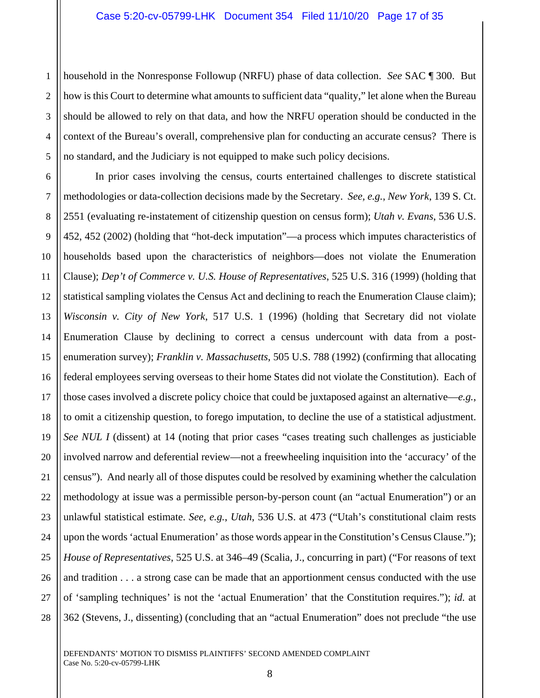1 2 household in the Nonresponse Followup (NRFU) phase of data collection. *See* SAC ¶ 300. But how is this Court to determine what amounts to sufficient data "quality," let alone when the Bureau should be allowed to rely on that data, and how the NRFU operation should be conducted in the context of the Bureau's overall, comprehensive plan for conducting an accurate census? There is no standard, and the Judiciary is not equipped to make such policy decisions.

In prior cases involving the census, courts entertained challenges to discrete statistical methodologies or data-collection decisions made by the Secretary. *See, e.g.*, *New York*, 139 S. Ct. 2551 (evaluating re-instatement of citizenship question on census form); *Utah v. Evans*, 536 U.S. 452, 452 (2002) (holding that "hot-deck imputation"—a process which imputes characteristics of households based upon the characteristics of neighbors—does not violate the Enumeration Clause); *Dep't of Commerce v. U.S. House of Representatives*, 525 U.S. 316 (1999) (holding that statistical sampling violates the Census Act and declining to reach the Enumeration Clause claim); *Wisconsin v. City of New York*, 517 U.S. 1 (1996) (holding that Secretary did not violate Enumeration Clause by declining to correct a census undercount with data from a postenumeration survey); *Franklin v. Massachusetts*, 505 U.S. 788 (1992) (confirming that allocating federal employees serving overseas to their home States did not violate the Constitution). Each of those cases involved a discrete policy choice that could be juxtaposed against an alternative—*e.g.*, to omit a citizenship question, to forego imputation, to decline the use of a statistical adjustment. *See NUL I* (dissent) at 14 (noting that prior cases "cases treating such challenges as justiciable involved narrow and deferential review—not a freewheeling inquisition into the 'accuracy' of the census"). And nearly all of those disputes could be resolved by examining whether the calculation methodology at issue was a permissible person-by-person count (an "actual Enumeration") or an unlawful statistical estimate. *See, e.g.*, *Utah*, 536 U.S. at 473 ("Utah's constitutional claim rests upon the words 'actual Enumeration' as those words appear in the Constitution's Census Clause."); *House of Representatives*, 525 U.S. at 346–49 (Scalia, J., concurring in part) ("For reasons of text and tradition . . . a strong case can be made that an apportionment census conducted with the use of 'sampling techniques' is not the 'actual Enumeration' that the Constitution requires."); *id.* at 362 (Stevens, J., dissenting) (concluding that an "actual Enumeration" does not preclude "the use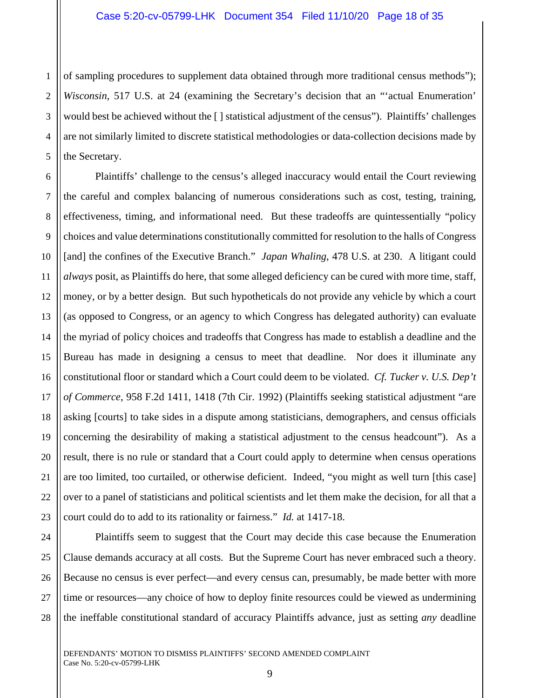1 2 3 4 5 of sampling procedures to supplement data obtained through more traditional census methods"); *Wisconsin*, 517 U.S. at 24 (examining the Secretary's decision that an "'actual Enumeration' would best be achieved without the [ ] statistical adjustment of the census"). Plaintiffs' challenges are not similarly limited to discrete statistical methodologies or data-collection decisions made by the Secretary.

6 7 8 9 10 11 12 13 Plaintiffs' challenge to the census's alleged inaccuracy would entail the Court reviewing the careful and complex balancing of numerous considerations such as cost, testing, training, effectiveness, timing, and informational need. But these tradeoffs are quintessentially "policy choices and value determinations constitutionally committed for resolution to the halls of Congress [and] the confines of the Executive Branch." *Japan Whaling*, 478 U.S. at 230. A litigant could *always* posit, as Plaintiffs do here, that some alleged deficiency can be cured with more time, staff, money, or by a better design. But such hypotheticals do not provide any vehicle by which a court (as opposed to Congress, or an agency to which Congress has delegated authority) can evaluate the myriad of policy choices and tradeoffs that Congress has made to establish a deadline and the Bureau has made in designing a census to meet that deadline. Nor does it illuminate any constitutional floor or standard which a Court could deem to be violated. *Cf. Tucker v. U.S. Dep't of Commerce*, 958 F.2d 1411, 1418 (7th Cir. 1992) (Plaintiffs seeking statistical adjustment "are asking [courts] to take sides in a dispute among statisticians, demographers, and census officials concerning the desirability of making a statistical adjustment to the census headcount"). As a result, there is no rule or standard that a Court could apply to determine when census operations are too limited, too curtailed, or otherwise deficient. Indeed, "you might as well turn [this case] over to a panel of statisticians and political scientists and let them make the decision, for all that a court could do to add to its rationality or fairness." *Id.* at 1417-18.

Plaintiffs seem to suggest that the Court may decide this case because the Enumeration Clause demands accuracy at all costs. But the Supreme Court has never embraced such a theory. Because no census is ever perfect—and every census can, presumably, be made better with more time or resources—any choice of how to deploy finite resources could be viewed as undermining the ineffable constitutional standard of accuracy Plaintiffs advance, just as setting *any* deadline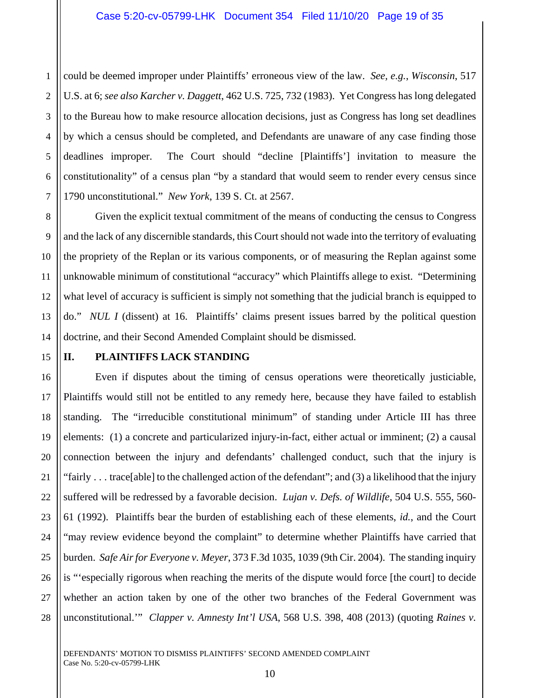1 2 3 4 5 6 7 could be deemed improper under Plaintiffs' erroneous view of the law. *See, e.g.*, *Wisconsin*, 517 U.S. at 6; *see also Karcher v. Daggett*, 462 U.S. 725, 732 (1983). Yet Congress has long delegated to the Bureau how to make resource allocation decisions, just as Congress has long set deadlines by which a census should be completed, and Defendants are unaware of any case finding those deadlines improper. The Court should "decline [Plaintiffs'] invitation to measure the constitutionality" of a census plan "by a standard that would seem to render every census since 1790 unconstitutional." *New York*, 139 S. Ct. at 2567.

8 9 10 11 12 13 14 Given the explicit textual commitment of the means of conducting the census to Congress and the lack of any discernible standards, this Court should not wade into the territory of evaluating the propriety of the Replan or its various components, or of measuring the Replan against some unknowable minimum of constitutional "accuracy" which Plaintiffs allege to exist. "Determining what level of accuracy is sufficient is simply not something that the judicial branch is equipped to do." *NUL I* (dissent) at 16. Plaintiffs' claims present issues barred by the political question doctrine, and their Second Amended Complaint should be dismissed.

15

16

17

18

19

20

21

22

23

24

25

26

27

28

#### **II. PLAINTIFFS LACK STANDING**

 Even if disputes about the timing of census operations were theoretically justiciable, Plaintiffs would still not be entitled to any remedy here, because they have failed to establish standing. The "irreducible constitutional minimum" of standing under Article III has three elements: (1) a concrete and particularized injury-in-fact, either actual or imminent; (2) a causal connection between the injury and defendants' challenged conduct, such that the injury is "fairly . . . trace[able] to the challenged action of the defendant"; and (3) a likelihood that the injury suffered will be redressed by a favorable decision. *Lujan v. Defs. of Wildlife*, 504 U.S. 555, 560- 61 (1992). Plaintiffs bear the burden of establishing each of these elements, *id.*, and the Court "may review evidence beyond the complaint" to determine whether Plaintiffs have carried that burden. *Safe Air for Everyone v. Meyer*, 373 F.3d 1035, 1039 (9th Cir. 2004). The standing inquiry is "'especially rigorous when reaching the merits of the dispute would force [the court] to decide whether an action taken by one of the other two branches of the Federal Government was unconstitutional.'" *Clapper v. Amnesty Int'l USA*, 568 U.S. 398, 408 (2013) (quoting *Raines v.*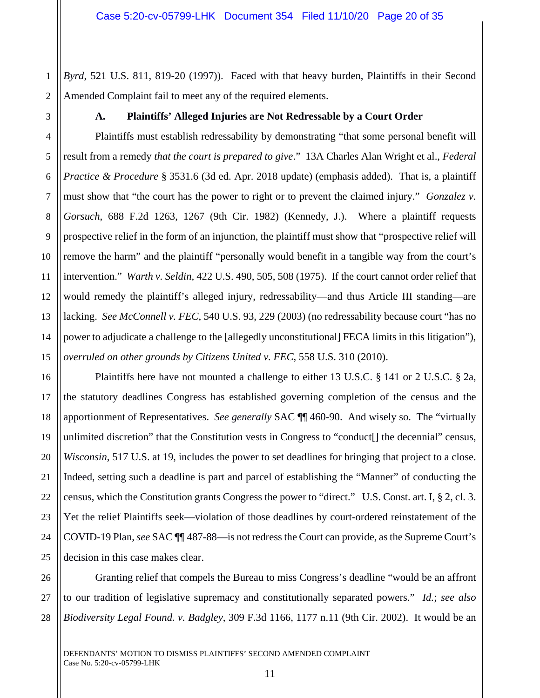1 2 *Byrd*, 521 U.S. 811, 819-20 (1997)). Faced with that heavy burden, Plaintiffs in their Second Amended Complaint fail to meet any of the required elements.

3

#### **A. Plaintiffs' Alleged Injuries are Not Redressable by a Court Order**

4 5 6 7 8 9 10 11 12 13 14 15 Plaintiffs must establish redressability by demonstrating "that some personal benefit will result from a remedy *that the court is prepared to give*." 13A Charles Alan Wright et al., *Federal Practice & Procedure* § 3531.6 (3d ed. Apr. 2018 update) (emphasis added). That is, a plaintiff must show that "the court has the power to right or to prevent the claimed injury." *Gonzalez v. Gorsuch*, 688 F.2d 1263, 1267 (9th Cir. 1982) (Kennedy, J.). Where a plaintiff requests prospective relief in the form of an injunction, the plaintiff must show that "prospective relief will remove the harm" and the plaintiff "personally would benefit in a tangible way from the court's intervention." *Warth v. Seldin,* 422 U.S. 490, 505, 508 (1975). If the court cannot order relief that would remedy the plaintiff's alleged injury, redressability—and thus Article III standing—are lacking. *See McConnell v. FEC*, 540 U.S. 93, 229 (2003) (no redressability because court "has no power to adjudicate a challenge to the [allegedly unconstitutional] FECA limits in this litigation"), *overruled on other grounds by Citizens United v. FEC*, 558 U.S. 310 (2010).

Plaintiffs here have not mounted a challenge to either 13 U.S.C. § 141 or 2 U.S.C. § 2a, the statutory deadlines Congress has established governing completion of the census and the apportionment of Representatives. *See generally* SAC ¶¶ 460-90. And wisely so. The "virtually unlimited discretion" that the Constitution vests in Congress to "conduct[] the decennial" census, *Wisconsin*, 517 U.S. at 19, includes the power to set deadlines for bringing that project to a close. Indeed, setting such a deadline is part and parcel of establishing the "Manner" of conducting the census, which the Constitution grants Congress the power to "direct." U.S. Const. art. I, § 2, cl. 3. Yet the relief Plaintiffs seek—violation of those deadlines by court-ordered reinstatement of the COVID-19 Plan, *see* SAC ¶¶ 487-88—is not redress the Court can provide, as the Supreme Court's decision in this case makes clear.

26 27 28 Granting relief that compels the Bureau to miss Congress's deadline "would be an affront to our tradition of legislative supremacy and constitutionally separated powers." *Id.*; *see also Biodiversity Legal Found. v. Badgley*, 309 F.3d 1166, 1177 n.11 (9th Cir. 2002). It would be an

16

17

18

19

20

21

22

23

24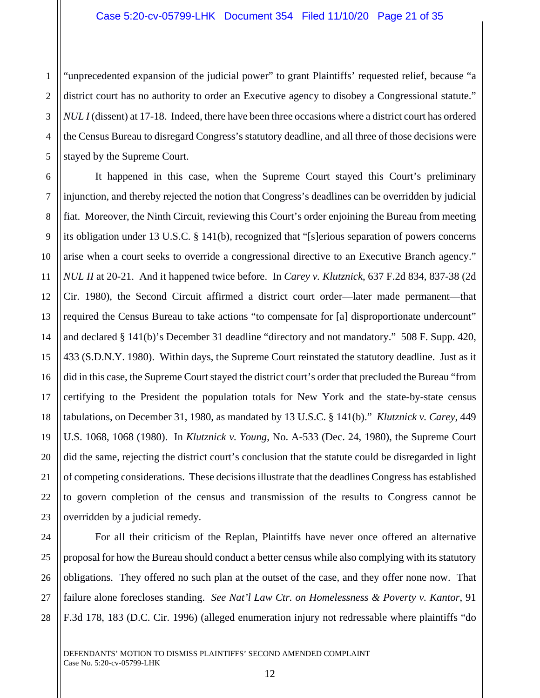"unprecedented expansion of the judicial power" to grant Plaintiffs' requested relief, because "a district court has no authority to order an Executive agency to disobey a Congressional statute." *NUL I* (dissent) at 17-18. Indeed, there have been three occasions where a district court has ordered the Census Bureau to disregard Congress's statutory deadline, and all three of those decisions were stayed by the Supreme Court.

It happened in this case, when the Supreme Court stayed this Court's preliminary injunction, and thereby rejected the notion that Congress's deadlines can be overridden by judicial fiat. Moreover, the Ninth Circuit, reviewing this Court's order enjoining the Bureau from meeting its obligation under 13 U.S.C. § 141(b), recognized that "[s]erious separation of powers concerns arise when a court seeks to override a congressional directive to an Executive Branch agency." *NUL II* at 20-21. And it happened twice before. In *Carey v. Klutznick*, 637 F.2d 834, 837-38 (2d Cir. 1980), the Second Circuit affirmed a district court order—later made permanent—that required the Census Bureau to take actions "to compensate for [a] disproportionate undercount" and declared § 141(b)'s December 31 deadline "directory and not mandatory." 508 F. Supp. 420, 433 (S.D.N.Y. 1980). Within days, the Supreme Court reinstated the statutory deadline. Just as it did in this case, the Supreme Court stayed the district court's order that precluded the Bureau "from certifying to the President the population totals for New York and the state-by-state census tabulations, on December 31, 1980, as mandated by 13 U.S.C. § 141(b)." *Klutznick v. Carey*, 449 U.S. 1068, 1068 (1980). In *Klutznick v. Young*, No. A-533 (Dec. 24, 1980), the Supreme Court did the same, rejecting the district court's conclusion that the statute could be disregarded in light of competing considerations. These decisions illustrate that the deadlines Congress has established to govern completion of the census and transmission of the results to Congress cannot be overridden by a judicial remedy.

For all their criticism of the Replan, Plaintiffs have never once offered an alternative proposal for how the Bureau should conduct a better census while also complying with its statutory obligations. They offered no such plan at the outset of the case, and they offer none now. That failure alone forecloses standing. *See Nat'l Law Ctr. on Homelessness & Poverty v. Kantor*, 91 F.3d 178, 183 (D.C. Cir. 1996) (alleged enumeration injury not redressable where plaintiffs "do

1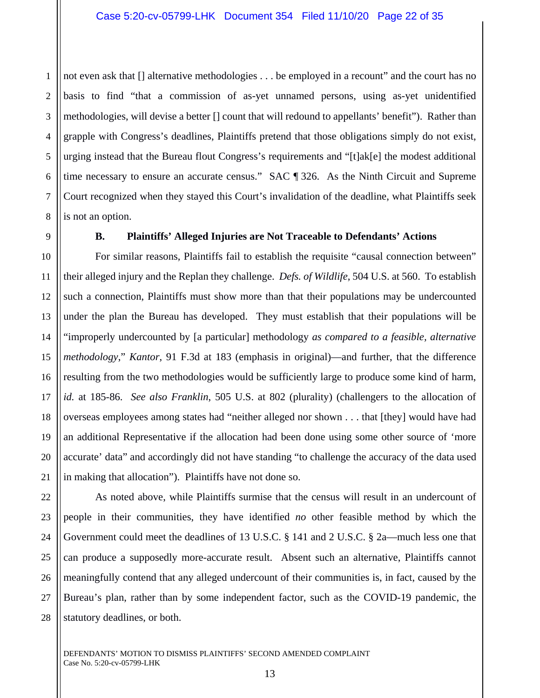1 2 3 4 5 6 7 8 not even ask that  $\iint$  alternative methodologies ... be employed in a recount" and the court has no basis to find "that a commission of as-yet unnamed persons, using as-yet unidentified methodologies, will devise a better [] count that will redound to appellants' benefit"). Rather than grapple with Congress's deadlines, Plaintiffs pretend that those obligations simply do not exist, urging instead that the Bureau flout Congress's requirements and "[t]ak[e] the modest additional time necessary to ensure an accurate census." SAC ¶ 326. As the Ninth Circuit and Supreme Court recognized when they stayed this Court's invalidation of the deadline, what Plaintiffs seek is not an option.

9

10

11

12

13

14

15

16

17

18

19

20

21

#### **B. Plaintiffs' Alleged Injuries are Not Traceable to Defendants' Actions**

For similar reasons, Plaintiffs fail to establish the requisite "causal connection between" their alleged injury and the Replan they challenge. *Defs. of Wildlife*, 504 U.S. at 560. To establish such a connection, Plaintiffs must show more than that their populations may be undercounted under the plan the Bureau has developed. They must establish that their populations will be "improperly undercounted by [a particular] methodology *as compared to a feasible, alternative methodology*," *Kantor*, 91 F.3d at 183 (emphasis in original)—and further, that the difference resulting from the two methodologies would be sufficiently large to produce some kind of harm, *id.* at 185-86. *See also Franklin*, 505 U.S. at 802 (plurality) (challengers to the allocation of overseas employees among states had "neither alleged nor shown . . . that [they] would have had an additional Representative if the allocation had been done using some other source of 'more accurate' data" and accordingly did not have standing "to challenge the accuracy of the data used in making that allocation"). Plaintiffs have not done so.

22 23 24 25 26 27 28 As noted above, while Plaintiffs surmise that the census will result in an undercount of people in their communities, they have identified *no* other feasible method by which the Government could meet the deadlines of 13 U.S.C. § 141 and 2 U.S.C. § 2a—much less one that can produce a supposedly more-accurate result. Absent such an alternative, Plaintiffs cannot meaningfully contend that any alleged undercount of their communities is, in fact, caused by the Bureau's plan, rather than by some independent factor, such as the COVID-19 pandemic, the statutory deadlines, or both.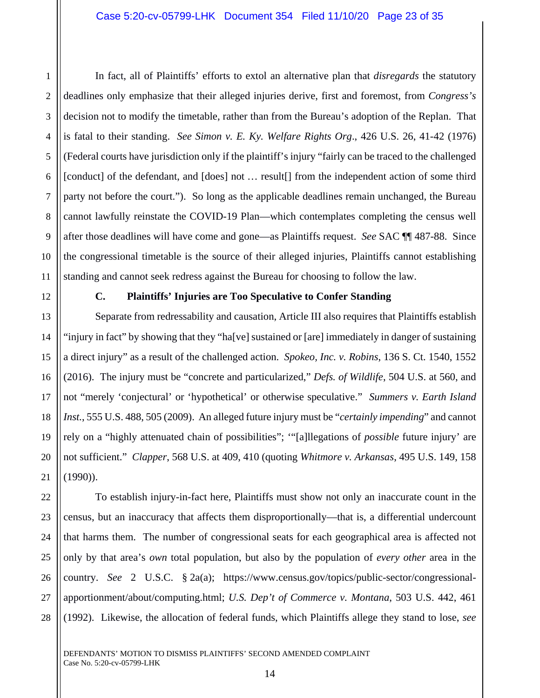1 2 3 4 5 6 7 8 9 10 11 In fact, all of Plaintiffs' efforts to extol an alternative plan that *disregards* the statutory deadlines only emphasize that their alleged injuries derive, first and foremost, from *Congress's*  decision not to modify the timetable, rather than from the Bureau's adoption of the Replan. That is fatal to their standing. *See Simon v. E. Ky. Welfare Rights Org*., 426 U.S. 26, 41-42 (1976) (Federal courts have jurisdiction only if the plaintiff's injury "fairly can be traced to the challenged [conduct] of the defendant, and [does] not ... result[] from the independent action of some third party not before the court."). So long as the applicable deadlines remain unchanged, the Bureau cannot lawfully reinstate the COVID-19 Plan—which contemplates completing the census well after those deadlines will have come and gone—as Plaintiffs request. *See* SAC ¶¶ 487-88. Since the congressional timetable is the source of their alleged injuries, Plaintiffs cannot establishing standing and cannot seek redress against the Bureau for choosing to follow the law.

12

13

14

15

16

17

18

19

20

21

#### **C. Plaintiffs' Injuries are Too Speculative to Confer Standing**

Separate from redressability and causation, Article III also requires that Plaintiffs establish "injury in fact" by showing that they "ha[ve] sustained or [are] immediately in danger of sustaining a direct injury" as a result of the challenged action. *Spokeo, Inc. v. Robins*, 136 S. Ct. 1540, 1552 (2016). The injury must be "concrete and particularized," *Defs. of Wildlife*, 504 U.S. at 560, and not "merely 'conjectural' or 'hypothetical' or otherwise speculative." *Summers v. Earth Island Inst.*, 555 U.S. 488, 505 (2009). An alleged future injury must be "*certainly impending*" and cannot rely on a "highly attenuated chain of possibilities"; '"[a]llegations of *possible* future injury' are not sufficient." *Clapper*, 568 U.S. at 409, 410 (quoting *Whitmore v. Arkansas*, 495 U.S. 149, 158 (1990)).

22 23 24 25 26 27 28 To establish injury-in-fact here, Plaintiffs must show not only an inaccurate count in the census, but an inaccuracy that affects them disproportionally—that is, a differential undercount that harms them. The number of congressional seats for each geographical area is affected not only by that area's *own* total population, but also by the population of *every other* area in the country. *See* 2 U.S.C. § 2a(a); https://www.census.gov/topics/public-sector/congressionalapportionment/about/computing.html; *U.S. Dep't of Commerce v. Montana*, 503 U.S. 442, 461 (1992). Likewise, the allocation of federal funds, which Plaintiffs allege they stand to lose, *see*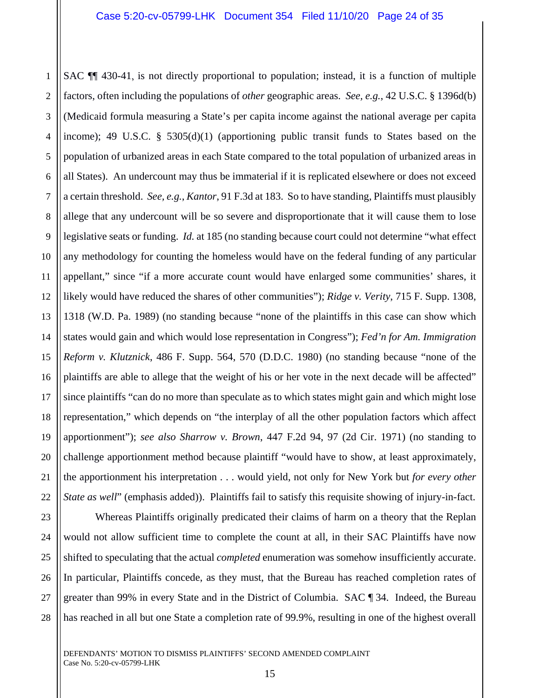1 2 3 4 SAC ¶¶ 430-41, is not directly proportional to population; instead, it is a function of multiple factors, often including the populations of *other* geographic areas. *See, e.g.*, 42 U.S.C. § 1396d(b) (Medicaid formula measuring a State's per capita income against the national average per capita income); 49 U.S.C. § 5305(d)(1) (apportioning public transit funds to States based on the population of urbanized areas in each State compared to the total population of urbanized areas in all States). An undercount may thus be immaterial if it is replicated elsewhere or does not exceed a certain threshold. *See, e.g.*, *Kantor*, 91 F.3d at 183. So to have standing, Plaintiffs must plausibly allege that any undercount will be so severe and disproportionate that it will cause them to lose legislative seats or funding. *Id.* at 185 (no standing because court could not determine "what effect any methodology for counting the homeless would have on the federal funding of any particular appellant," since "if a more accurate count would have enlarged some communities' shares, it likely would have reduced the shares of other communities"); *Ridge v. Verity*, 715 F. Supp. 1308, 1318 (W.D. Pa. 1989) (no standing because "none of the plaintiffs in this case can show which states would gain and which would lose representation in Congress"); *Fed'n for Am. Immigration Reform v. Klutznick*, 486 F. Supp. 564, 570 (D.D.C. 1980) (no standing because "none of the plaintiffs are able to allege that the weight of his or her vote in the next decade will be affected" since plaintiffs "can do no more than speculate as to which states might gain and which might lose representation," which depends on "the interplay of all the other population factors which affect apportionment"); *see also Sharrow v. Brown*, 447 F.2d 94, 97 (2d Cir. 1971) (no standing to challenge apportionment method because plaintiff "would have to show, at least approximately, the apportionment his interpretation . . . would yield, not only for New York but *for every other State as well*" (emphasis added)). Plaintiffs fail to satisfy this requisite showing of injury-in-fact.

Whereas Plaintiffs originally predicated their claims of harm on a theory that the Replan would not allow sufficient time to complete the count at all, in their SAC Plaintiffs have now shifted to speculating that the actual *completed* enumeration was somehow insufficiently accurate. In particular, Plaintiffs concede, as they must, that the Bureau has reached completion rates of greater than 99% in every State and in the District of Columbia. SAC ¶ 34. Indeed, the Bureau has reached in all but one State a completion rate of 99.9%, resulting in one of the highest overall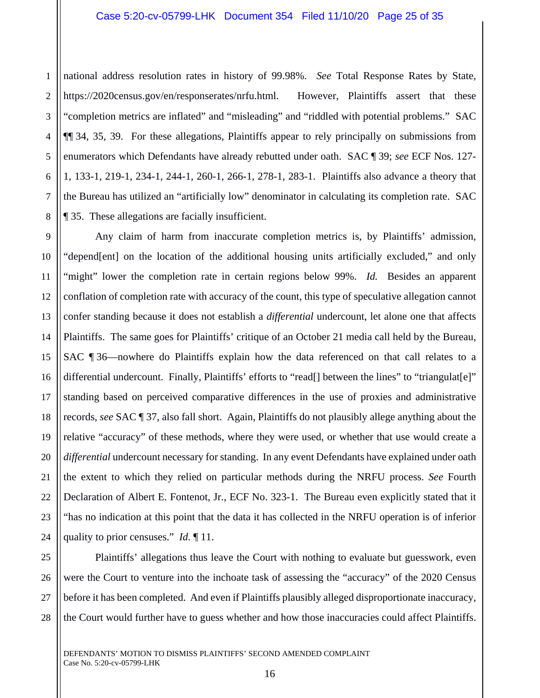national address resolution rates in history of 99.98%. *See* Total Response Rates by State, https://2020census.gov/en/responserates/nrfu.html. However, Plaintiffs assert that these "completion metrics are inflated" and "misleading" and "riddled with potential problems." SAC ¶¶ 34, 35, 39. For these allegations, Plaintiffs appear to rely principally on submissions from enumerators which Defendants have already rebutted under oath. SAC ¶ 39; *see* ECF Nos. 127- 1, 133-1, 219-1, 234-1, 244-1, 260-1, 266-1, 278-1, 283-1. Plaintiffs also advance a theory that the Bureau has utilized an "artificially low" denominator in calculating its completion rate. SAC ¶ 35. These allegations are facially insufficient.

Any claim of harm from inaccurate completion metrics is, by Plaintiffs' admission, "depend[ent] on the location of the additional housing units artificially excluded," and only "might" lower the completion rate in certain regions below 99%. *Id.* Besides an apparent conflation of completion rate with accuracy of the count, this type of speculative allegation cannot confer standing because it does not establish a *differential* undercount, let alone one that affects Plaintiffs. The same goes for Plaintiffs' critique of an October 21 media call held by the Bureau, SAC ¶ 36—nowhere do Plaintiffs explain how the data referenced on that call relates to a differential undercount. Finally, Plaintiffs' efforts to "read[] between the lines" to "triangulat[e]" standing based on perceived comparative differences in the use of proxies and administrative records, *see* SAC ¶ 37, also fall short. Again, Plaintiffs do not plausibly allege anything about the relative "accuracy" of these methods, where they were used, or whether that use would create a *differential* undercount necessary for standing. In any event Defendants have explained under oath the extent to which they relied on particular methods during the NRFU process. *See* Fourth Declaration of Albert E. Fontenot, Jr., ECF No. 323-1. The Bureau even explicitly stated that it "has no indication at this point that the data it has collected in the NRFU operation is of inferior quality to prior censuses." *Id.* ¶ 11.

Plaintiffs' allegations thus leave the Court with nothing to evaluate but guesswork, even were the Court to venture into the inchoate task of assessing the "accuracy" of the 2020 Census before it has been completed. And even if Plaintiffs plausibly alleged disproportionate inaccuracy, the Court would further have to guess whether and how those inaccuracies could affect Plaintiffs.

1

2

3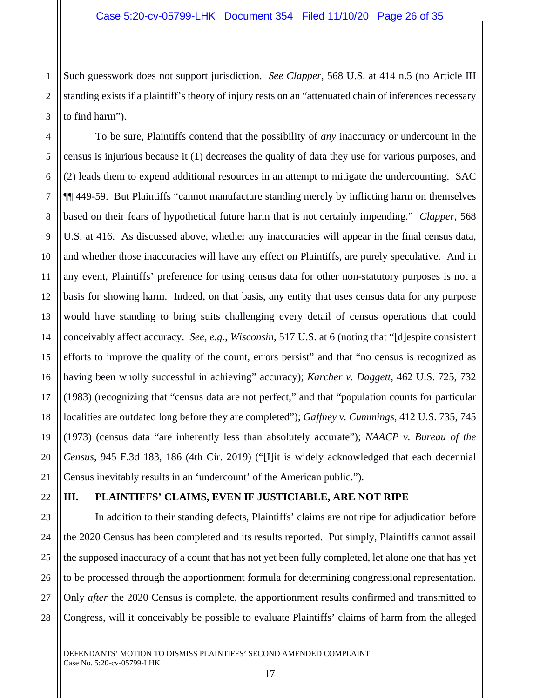1 2 3 Such guesswork does not support jurisdiction. *See Clapper*, 568 U.S. at 414 n.5 (no Article III standing exists if a plaintiff's theory of injury rests on an "attenuated chain of inferences necessary to find harm").

To be sure, Plaintiffs contend that the possibility of *any* inaccuracy or undercount in the census is injurious because it (1) decreases the quality of data they use for various purposes, and (2) leads them to expend additional resources in an attempt to mitigate the undercounting. SAC ¶¶ 449-59. But Plaintiffs "cannot manufacture standing merely by inflicting harm on themselves based on their fears of hypothetical future harm that is not certainly impending." *Clapper*, 568 U.S. at 416. As discussed above, whether any inaccuracies will appear in the final census data, and whether those inaccuracies will have any effect on Plaintiffs, are purely speculative. And in any event, Plaintiffs' preference for using census data for other non-statutory purposes is not a basis for showing harm. Indeed, on that basis, any entity that uses census data for any purpose would have standing to bring suits challenging every detail of census operations that could conceivably affect accuracy. *See, e.g.*, *Wisconsin*, 517 U.S. at 6 (noting that "[d]espite consistent efforts to improve the quality of the count, errors persist" and that "no census is recognized as having been wholly successful in achieving" accuracy); *Karcher v. Daggett*, 462 U.S. 725, 732 (1983) (recognizing that "census data are not perfect," and that "population counts for particular localities are outdated long before they are completed"); *Gaffney v. Cummings*, 412 U.S. 735, 745 (1973) (census data "are inherently less than absolutely accurate"); *NAACP v. Bureau of the Census*, 945 F.3d 183, 186 (4th Cir. 2019) ("[I]it is widely acknowledged that each decennial Census inevitably results in an 'undercount' of the American public.").

22

23

24

25

26

27

28

4

5

6

7

8

9

10

11

12

13

14

15

16

17

18

19

20

21

#### **III. PLAINTIFFS' CLAIMS, EVEN IF JUSTICIABLE, ARE NOT RIPE**

In addition to their standing defects, Plaintiffs' claims are not ripe for adjudication before the 2020 Census has been completed and its results reported. Put simply, Plaintiffs cannot assail the supposed inaccuracy of a count that has not yet been fully completed, let alone one that has yet to be processed through the apportionment formula for determining congressional representation. Only *after* the 2020 Census is complete, the apportionment results confirmed and transmitted to Congress, will it conceivably be possible to evaluate Plaintiffs' claims of harm from the alleged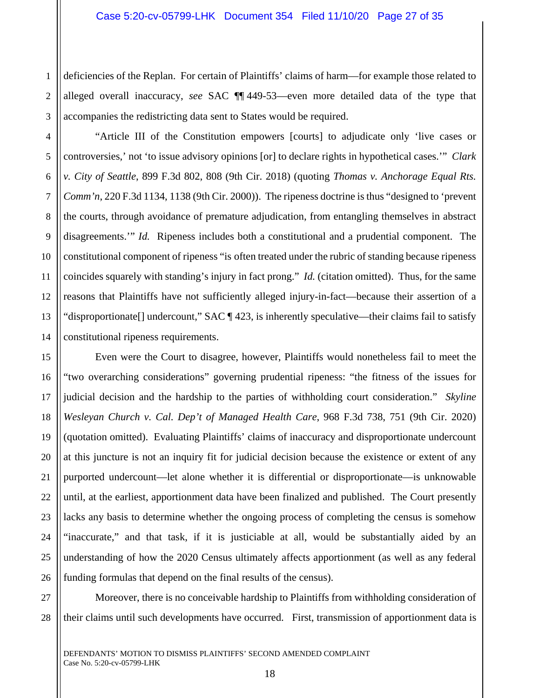1 2 3 deficiencies of the Replan. For certain of Plaintiffs' claims of harm—for example those related to alleged overall inaccuracy, *see* SAC ¶¶ 449-53—even more detailed data of the type that accompanies the redistricting data sent to States would be required.

"Article III of the Constitution empowers [courts] to adjudicate only 'live cases or controversies,' not 'to issue advisory opinions [or] to declare rights in hypothetical cases.'" *Clark v. City of Seattle*, 899 F.3d 802, 808 (9th Cir. 2018) (quoting *Thomas v. Anchorage Equal Rts. Comm'n*, 220 F.3d 1134, 1138 (9th Cir. 2000)). The ripeness doctrine is thus "designed to 'prevent the courts, through avoidance of premature adjudication, from entangling themselves in abstract disagreements.'" *Id.* Ripeness includes both a constitutional and a prudential component. The constitutional component of ripeness "is often treated under the rubric of standing because ripeness coincides squarely with standing's injury in fact prong." *Id.* (citation omitted). Thus, for the same reasons that Plaintiffs have not sufficiently alleged injury-in-fact—because their assertion of a "disproportionate[] undercount," SAC ¶ 423, is inherently speculative—their claims fail to satisfy constitutional ripeness requirements.

Even were the Court to disagree, however, Plaintiffs would nonetheless fail to meet the "two overarching considerations" governing prudential ripeness: "the fitness of the issues for judicial decision and the hardship to the parties of withholding court consideration." *Skyline Wesleyan Church v. Cal. Dep't of Managed Health Care*, 968 F.3d 738, 751 (9th Cir. 2020) (quotation omitted). Evaluating Plaintiffs' claims of inaccuracy and disproportionate undercount at this juncture is not an inquiry fit for judicial decision because the existence or extent of any purported undercount—let alone whether it is differential or disproportionate—is unknowable until, at the earliest, apportionment data have been finalized and published. The Court presently lacks any basis to determine whether the ongoing process of completing the census is somehow "inaccurate," and that task, if it is justiciable at all, would be substantially aided by an understanding of how the 2020 Census ultimately affects apportionment (as well as any federal funding formulas that depend on the final results of the census).

Moreover, there is no conceivable hardship to Plaintiffs from withholding consideration of their claims until such developments have occurred. First, transmission of apportionment data is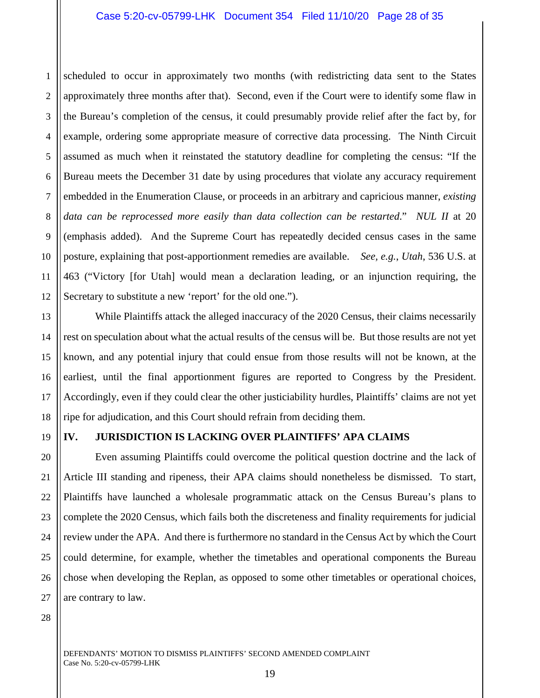1 2 3 4 5 6 7 8 9 10 11 12 scheduled to occur in approximately two months (with redistricting data sent to the States approximately three months after that). Second, even if the Court were to identify some flaw in the Bureau's completion of the census, it could presumably provide relief after the fact by, for example, ordering some appropriate measure of corrective data processing. The Ninth Circuit assumed as much when it reinstated the statutory deadline for completing the census: "If the Bureau meets the December 31 date by using procedures that violate any accuracy requirement embedded in the Enumeration Clause, or proceeds in an arbitrary and capricious manner, *existing data can be reprocessed more easily than data collection can be restarted*." *NUL II* at 20 (emphasis added). And the Supreme Court has repeatedly decided census cases in the same posture, explaining that post-apportionment remedies are available. *See, e.g.*, *Utah*, 536 U.S. at 463 ("Victory [for Utah] would mean a declaration leading, or an injunction requiring, the Secretary to substitute a new 'report' for the old one.").

13 14 15 16 18 While Plaintiffs attack the alleged inaccuracy of the 2020 Census, their claims necessarily rest on speculation about what the actual results of the census will be. But those results are not yet known, and any potential injury that could ensue from those results will not be known, at the earliest, until the final apportionment figures are reported to Congress by the President. Accordingly, even if they could clear the other justiciability hurdles, Plaintiffs' claims are not yet ripe for adjudication, and this Court should refrain from deciding them.

#### 19

17

20

21

22

23

24

25

26

27

#### **IV. JURISDICTION IS LACKING OVER PLAINTIFFS' APA CLAIMS**

Even assuming Plaintiffs could overcome the political question doctrine and the lack of Article III standing and ripeness, their APA claims should nonetheless be dismissed. To start, Plaintiffs have launched a wholesale programmatic attack on the Census Bureau's plans to complete the 2020 Census, which fails both the discreteness and finality requirements for judicial review under the APA. And there is furthermore no standard in the Census Act by which the Court could determine, for example, whether the timetables and operational components the Bureau chose when developing the Replan, as opposed to some other timetables or operational choices, are contrary to law.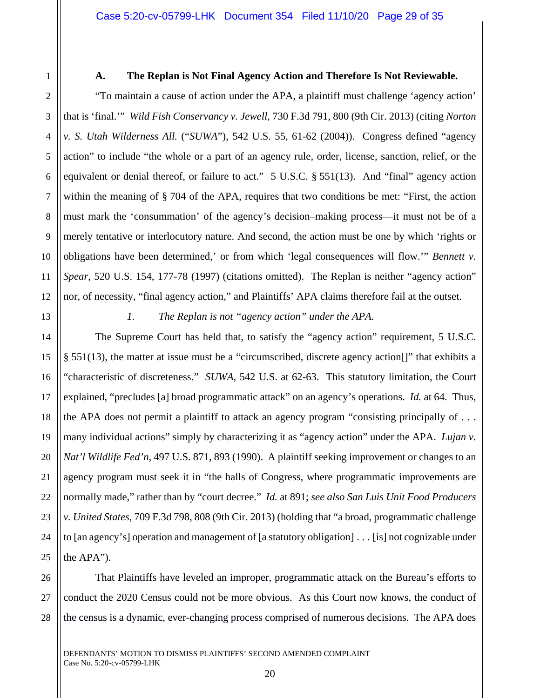1 2 3

4

5

6

7

8

9

10

11

12

14

15

16

17

18

19

20

21

22

23

24

25

#### **A. The Replan is Not Final Agency Action and Therefore Is Not Reviewable.**

"To maintain a cause of action under the APA, a plaintiff must challenge 'agency action' that is 'final.'" *Wild Fish Conservancy v. Jewell*, 730 F.3d 791, 800 (9th Cir. 2013) (citing *Norton v. S. Utah Wilderness All.* ("*SUWA*"), 542 U.S. 55, 61-62 (2004)). Congress defined "agency action" to include "the whole or a part of an agency rule, order, license, sanction, relief, or the equivalent or denial thereof, or failure to act." 5 U.S.C. § 551(13). And "final" agency action within the meaning of § 704 of the APA, requires that two conditions be met: "First, the action must mark the 'consummation' of the agency's decision–making process—it must not be of a merely tentative or interlocutory nature. And second, the action must be one by which 'rights or obligations have been determined,' or from which 'legal consequences will flow.'" *Bennett v. Spear*, 520 U.S. 154, 177-78 (1997) (citations omitted). The Replan is neither "agency action" nor, of necessity, "final agency action," and Plaintiffs' APA claims therefore fail at the outset.

13

*1. The Replan is not "agency action" under the APA.* 

The Supreme Court has held that, to satisfy the "agency action" requirement, 5 U.S.C. § 551(13), the matter at issue must be a "circumscribed, discrete agency action[]" that exhibits a "characteristic of discreteness." *SUWA*, 542 U.S. at 62-63. This statutory limitation, the Court explained, "precludes [a] broad programmatic attack" on an agency's operations. *Id.* at 64. Thus, the APA does not permit a plaintiff to attack an agency program "consisting principally of . . . many individual actions" simply by characterizing it as "agency action" under the APA. *Lujan v. Nat'l Wildlife Fed'n*, 497 U.S. 871, 893 (1990). A plaintiff seeking improvement or changes to an agency program must seek it in "the halls of Congress, where programmatic improvements are normally made," rather than by "court decree." *Id.* at 891; *see also San Luis Unit Food Producers v. United States*, 709 F.3d 798, 808 (9th Cir. 2013) (holding that "a broad, programmatic challenge to [an agency's] operation and management of [a statutory obligation] . . . [is] not cognizable under the APA").

26 27 28 That Plaintiffs have leveled an improper, programmatic attack on the Bureau's efforts to conduct the 2020 Census could not be more obvious. As this Court now knows, the conduct of the census is a dynamic, ever-changing process comprised of numerous decisions. The APA does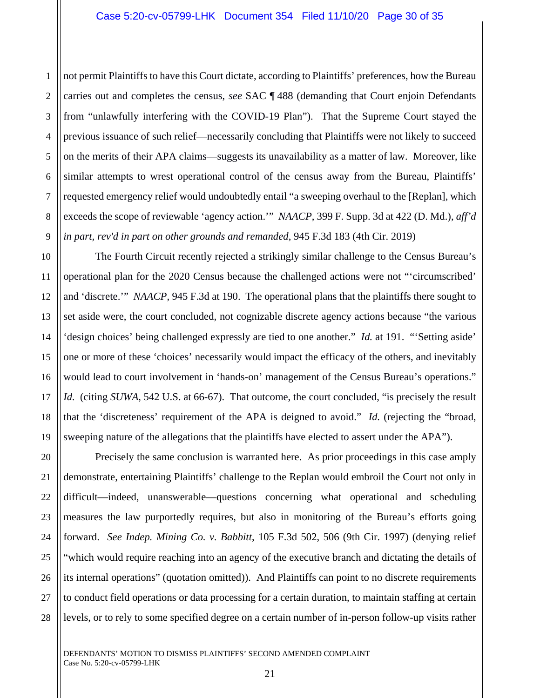2 3 4 5 6 7 8 not permit Plaintiffs to have this Court dictate, according to Plaintiffs' preferences, how the Bureau carries out and completes the census, *see* SAC ¶ 488 (demanding that Court enjoin Defendants from "unlawfully interfering with the COVID-19 Plan"). That the Supreme Court stayed the previous issuance of such relief—necessarily concluding that Plaintiffs were not likely to succeed on the merits of their APA claims—suggests its unavailability as a matter of law. Moreover, like similar attempts to wrest operational control of the census away from the Bureau, Plaintiffs' requested emergency relief would undoubtedly entail "a sweeping overhaul to the [Replan], which exceeds the scope of reviewable 'agency action.'" *NAACP*, 399 F. Supp. 3d at 422 (D. Md.), *aff'd in part, rev'd in part on other grounds and remanded*, 945 F.3d 183 (4th Cir. 2019)

The Fourth Circuit recently rejected a strikingly similar challenge to the Census Bureau's operational plan for the 2020 Census because the challenged actions were not "'circumscribed' and 'discrete.'" *NAACP*, 945 F.3d at 190. The operational plans that the plaintiffs there sought to set aside were, the court concluded, not cognizable discrete agency actions because "the various 'design choices' being challenged expressly are tied to one another." *Id.* at 191. "'Setting aside' one or more of these 'choices' necessarily would impact the efficacy of the others, and inevitably would lead to court involvement in 'hands-on' management of the Census Bureau's operations." *Id.* (citing *SUWA*, 542 U.S. at 66-67). That outcome, the court concluded, "is precisely the result that the 'discreteness' requirement of the APA is deigned to avoid." *Id.* (rejecting the "broad, sweeping nature of the allegations that the plaintiffs have elected to assert under the APA").

Precisely the same conclusion is warranted here. As prior proceedings in this case amply demonstrate, entertaining Plaintiffs' challenge to the Replan would embroil the Court not only in difficult—indeed, unanswerable—questions concerning what operational and scheduling measures the law purportedly requires, but also in monitoring of the Bureau's efforts going forward. *See Indep. Mining Co. v. Babbitt*, 105 F.3d 502, 506 (9th Cir. 1997) (denying relief "which would require reaching into an agency of the executive branch and dictating the details of its internal operations" (quotation omitted)). And Plaintiffs can point to no discrete requirements to conduct field operations or data processing for a certain duration, to maintain staffing at certain levels, or to rely to some specified degree on a certain number of in-person follow-up visits rather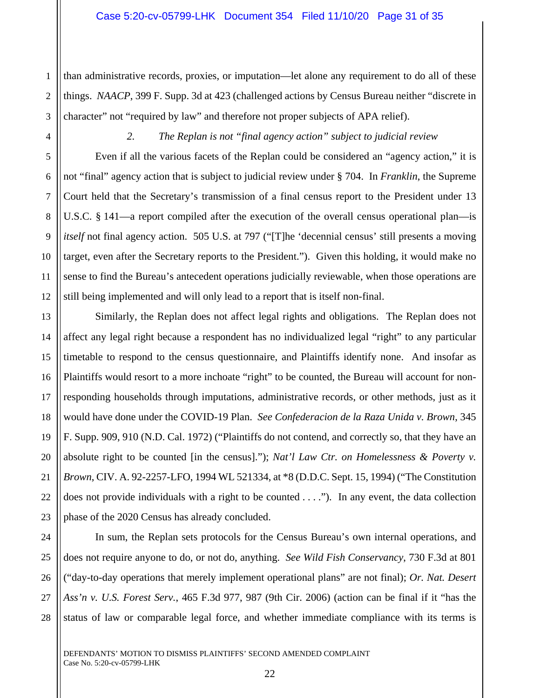than administrative records, proxies, or imputation—let alone any requirement to do all of these things. *NAACP*, 399 F. Supp. 3d at 423 (challenged actions by Census Bureau neither "discrete in character" not "required by law" and therefore not proper subjects of APA relief).

1

2

3

4

5

6

7

8

9

10

11

12

#### *2. The Replan is not "final agency action" subject to judicial review*

Even if all the various facets of the Replan could be considered an "agency action," it is not "final" agency action that is subject to judicial review under § 704. In *Franklin*, the Supreme Court held that the Secretary's transmission of a final census report to the President under 13 U.S.C. § 141—a report compiled after the execution of the overall census operational plan—is *itself* not final agency action. 505 U.S. at 797 ("[T]he 'decennial census' still presents a moving target, even after the Secretary reports to the President."). Given this holding, it would make no sense to find the Bureau's antecedent operations judicially reviewable, when those operations are still being implemented and will only lead to a report that is itself non-final.

13 14 15 16 17 18 19 20 21 22 23 Similarly, the Replan does not affect legal rights and obligations. The Replan does not affect any legal right because a respondent has no individualized legal "right" to any particular timetable to respond to the census questionnaire, and Plaintiffs identify none. And insofar as Plaintiffs would resort to a more inchoate "right" to be counted, the Bureau will account for nonresponding households through imputations, administrative records, or other methods, just as it would have done under the COVID-19 Plan. *See Confederacion de la Raza Unida v. Brown*, 345 F. Supp. 909, 910 (N.D. Cal. 1972) ("Plaintiffs do not contend, and correctly so, that they have an absolute right to be counted [in the census]."); *Nat'l Law Ctr. on Homelessness & Poverty v. Brown*, CIV. A. 92-2257-LFO, 1994 WL 521334, at \*8 (D.D.C. Sept. 15, 1994) ("The Constitution does not provide individuals with a right to be counted . . . ."). In any event, the data collection phase of the 2020 Census has already concluded.

24 25 26 27 28 In sum, the Replan sets protocols for the Census Bureau's own internal operations, and does not require anyone to do, or not do, anything. *See Wild Fish Conservancy*, 730 F.3d at 801 ("day-to-day operations that merely implement operational plans" are not final); *Or. Nat. Desert Ass'n v. U.S. Forest Serv.*, 465 F.3d 977, 987 (9th Cir. 2006) (action can be final if it "has the status of law or comparable legal force, and whether immediate compliance with its terms is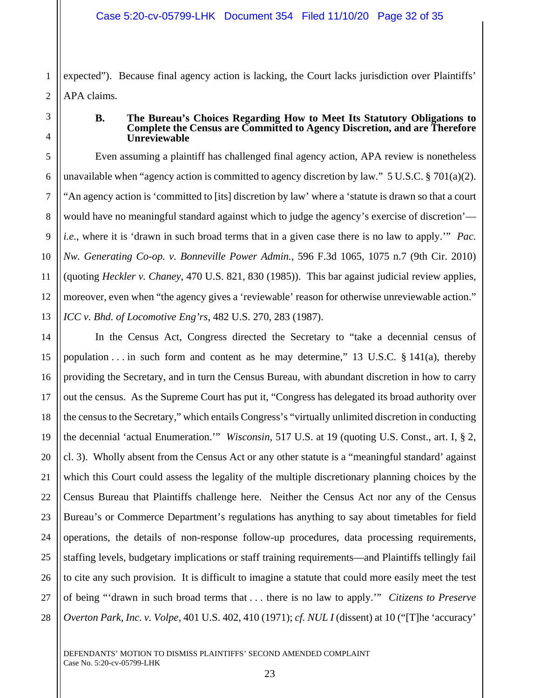1 2 expected"). Because final agency action is lacking, the Court lacks jurisdiction over Plaintiffs' APA claims.

#### **B. The Bureau's Choices Regarding How to Meet Its Statutory Obligations to Complete the Census are Committed to Agency Discretion, and are Therefore Unreviewable**

6 8 9 10 12 13 Even assuming a plaintiff has challenged final agency action, APA review is nonetheless unavailable when "agency action is committed to agency discretion by law."  $5 \text{ U.S.C.}$   $\frac{1}{2} \frac{701(a)(2)}{2}$ . "An agency action is 'committed to [its] discretion by law' where a 'statute is drawn so that a court would have no meaningful standard against which to judge the agency's exercise of discretion' *i.e.*, where it is 'drawn in such broad terms that in a given case there is no law to apply.'" *Pac. Nw. Generating Co-op. v. Bonneville Power Admin.*, 596 F.3d 1065, 1075 n.7 (9th Cir. 2010) (quoting *Heckler v. Chaney*, 470 U.S. 821, 830 (1985)). This bar against judicial review applies, moreover, even when "the agency gives a 'reviewable' reason for otherwise unreviewable action." *ICC v. Bhd. of Locomotive Eng'rs*, 482 U.S. 270, 283 (1987).

14 15 16 17 18 19 20 21 22 23 24 25 26 27 28 In the Census Act, Congress directed the Secretary to "take a decennial census of population  $\ldots$  in such form and content as he may determine," 13 U.S.C. § 141(a), thereby providing the Secretary, and in turn the Census Bureau, with abundant discretion in how to carry out the census. As the Supreme Court has put it, "Congress has delegated its broad authority over the census to the Secretary," which entails Congress's "virtually unlimited discretion in conducting the decennial 'actual Enumeration.'" *Wisconsin*, 517 U.S. at 19 (quoting U.S. Const., art. I, § 2, cl. 3). Wholly absent from the Census Act or any other statute is a "meaningful standard' against which this Court could assess the legality of the multiple discretionary planning choices by the Census Bureau that Plaintiffs challenge here. Neither the Census Act nor any of the Census Bureau's or Commerce Department's regulations has anything to say about timetables for field operations, the details of non-response follow-up procedures, data processing requirements, staffing levels, budgetary implications or staff training requirements—and Plaintiffs tellingly fail to cite any such provision. It is difficult to imagine a statute that could more easily meet the test of being "'drawn in such broad terms that . . . there is no law to apply.'" *Citizens to Preserve Overton Park, Inc. v. Volpe*, 401 U.S. 402, 410 (1971); *cf. NUL I* (dissent) at 10 ("[T]he 'accuracy'

3

4

5

7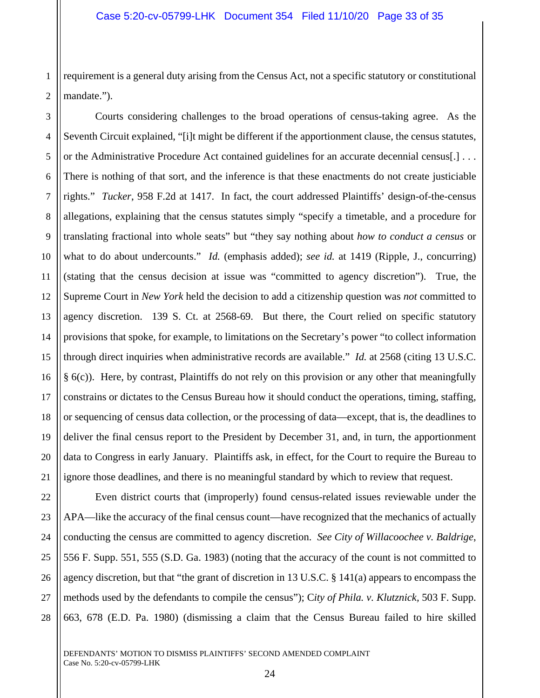2 requirement is a general duty arising from the Census Act, not a specific statutory or constitutional mandate.").

3 4 5 6 7 8 9 10 11 12 13 14 15 16 17 18 19 20 21 Courts considering challenges to the broad operations of census-taking agree. As the Seventh Circuit explained, "[i]t might be different if the apportionment clause, the census statutes, or the Administrative Procedure Act contained guidelines for an accurate decennial census[.] . . . There is nothing of that sort, and the inference is that these enactments do not create justiciable rights." *Tucker*, 958 F.2d at 1417. In fact, the court addressed Plaintiffs' design-of-the-census allegations, explaining that the census statutes simply "specify a timetable, and a procedure for translating fractional into whole seats" but "they say nothing about *how to conduct a census* or what to do about undercounts." *Id.* (emphasis added); *see id.* at 1419 (Ripple, J., concurring) (stating that the census decision at issue was "committed to agency discretion"). True, the Supreme Court in *New York* held the decision to add a citizenship question was *not* committed to agency discretion. 139 S. Ct. at 2568-69. But there, the Court relied on specific statutory provisions that spoke, for example, to limitations on the Secretary's power "to collect information through direct inquiries when administrative records are available." *Id.* at 2568 (citing 13 U.S.C. § 6(c)). Here, by contrast, Plaintiffs do not rely on this provision or any other that meaningfully constrains or dictates to the Census Bureau how it should conduct the operations, timing, staffing, or sequencing of census data collection, or the processing of data—except, that is, the deadlines to deliver the final census report to the President by December 31, and, in turn, the apportionment data to Congress in early January. Plaintiffs ask, in effect, for the Court to require the Bureau to ignore those deadlines, and there is no meaningful standard by which to review that request.

22 23 24 25 26 27 28 Even district courts that (improperly) found census-related issues reviewable under the APA—like the accuracy of the final census count—have recognized that the mechanics of actually conducting the census are committed to agency discretion. *See City of Willacoochee v. Baldrige*, 556 F. Supp. 551, 555 (S.D. Ga. 1983) (noting that the accuracy of the count is not committed to agency discretion, but that "the grant of discretion in 13 U.S.C. § 141(a) appears to encompass the methods used by the defendants to compile the census"); C*ity of Phila. v. Klutznick,* 503 F. Supp. 663, 678 (E.D. Pa. 1980) (dismissing a claim that the Census Bureau failed to hire skilled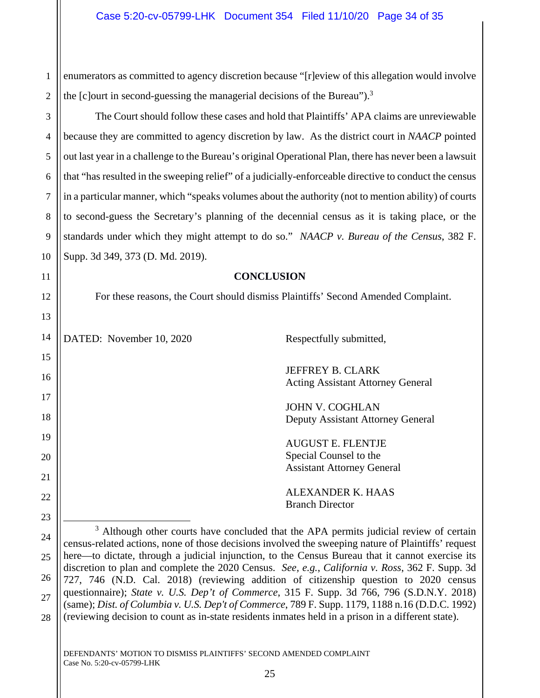1 2 enumerators as committed to agency discretion because "[r]eview of this allegation would involve the  $[c]$  ourt in second-guessing the managerial decisions of the Bureau").<sup>3</sup>

3 4 5 6 7 8 9 10 The Court should follow these cases and hold that Plaintiffs' APA claims are unreviewable because they are committed to agency discretion by law. As the district court in *NAACP* pointed out last year in a challenge to the Bureau's original Operational Plan, there has never been a lawsuit that "has resulted in the sweeping relief" of a judicially-enforceable directive to conduct the census in a particular manner, which "speaks volumes about the authority (not to mention ability) of courts to second-guess the Secretary's planning of the decennial census as it is taking place, or the standards under which they might attempt to do so." *NAACP v. Bureau of the Census*, 382 F. Supp. 3d 349, 373 (D. Md. 2019).

#### **CONCLUSION**

For these reasons, the Court should dismiss Plaintiffs' Second Amended Complaint.

DATED: November 10, 2020 Respectfully submitted,

11

12

13

14

15

16

17

18

19

20

21

22

23

JEFFREY B. CLARK Acting Assistant Attorney General

JOHN V. COGHLAN Deputy Assistant Attorney General

AUGUST E. FLENTJE Special Counsel to the Assistant Attorney General

ALEXANDER K. HAAS Branch Director

24 25 26 27 28 ÷ <sup>3</sup> Although other courts have concluded that the APA permits judicial review of certain census-related actions, none of those decisions involved the sweeping nature of Plaintiffs' request here—to dictate, through a judicial injunction, to the Census Bureau that it cannot exercise its discretion to plan and complete the 2020 Census. *See, e.g.*, *California v. Ross*, 362 F. Supp. 3d 727, 746 (N.D. Cal. 2018) (reviewing addition of citizenship question to 2020 census questionnaire); *State v. U.S. Dep't of Commerce*, 315 F. Supp. 3d 766, 796 (S.D.N.Y. 2018) (same); *Dist. of Columbia v. U.S. Dep't of Commerce*, 789 F. Supp. 1179, 1188 n.16 (D.D.C. 1992) (reviewing decision to count as in-state residents inmates held in a prison in a different state).